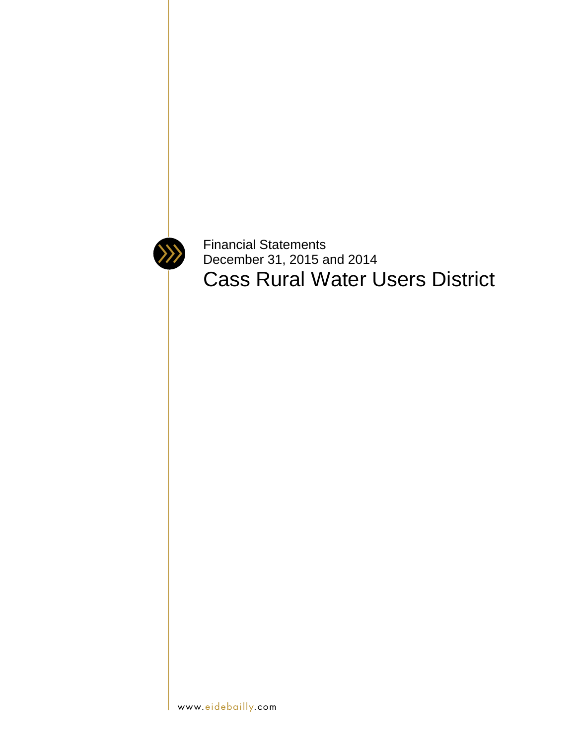

Financial Statements December 31, 2015 and 2014 Cass Rural Water Users District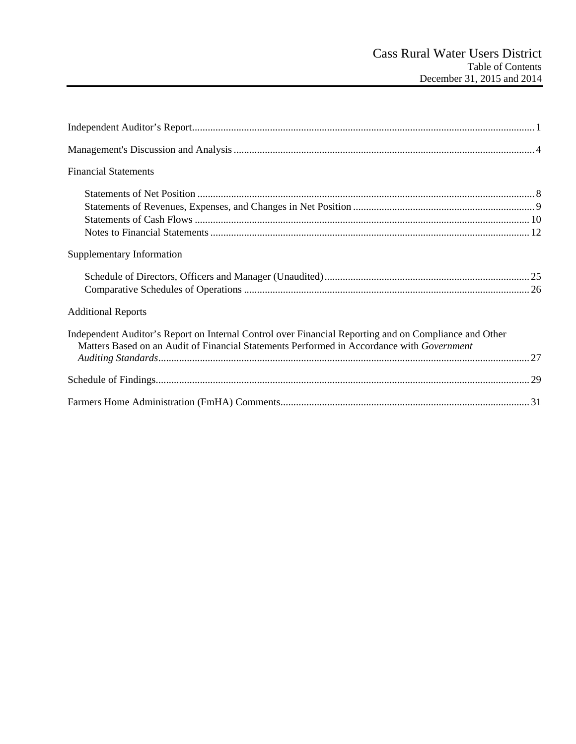| <b>Financial Statements</b>                                                                                                                                                                        |
|----------------------------------------------------------------------------------------------------------------------------------------------------------------------------------------------------|
|                                                                                                                                                                                                    |
| Supplementary Information                                                                                                                                                                          |
|                                                                                                                                                                                                    |
| <b>Additional Reports</b>                                                                                                                                                                          |
| Independent Auditor's Report on Internal Control over Financial Reporting and on Compliance and Other<br>Matters Based on an Audit of Financial Statements Performed in Accordance with Government |
|                                                                                                                                                                                                    |
|                                                                                                                                                                                                    |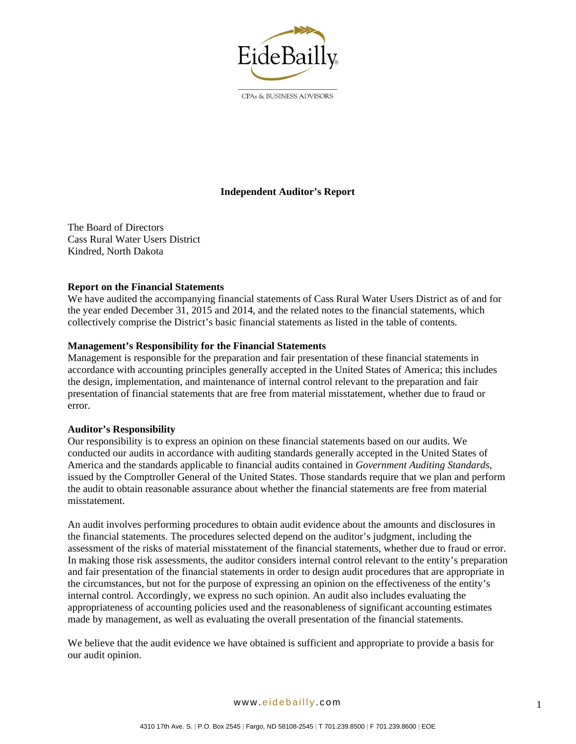

CPAs & BUSINESS ADVISORS

# **Independent Auditor's Report**

The Board of Directors Cass Rural Water Users District Kindred, North Dakota

## **Report on the Financial Statements**

We have audited the accompanying financial statements of Cass Rural Water Users District as of and for the year ended December 31, 2015 and 2014, and the related notes to the financial statements, which collectively comprise the District's basic financial statements as listed in the table of contents.

## **Management's Responsibility for the Financial Statements**

Management is responsible for the preparation and fair presentation of these financial statements in accordance with accounting principles generally accepted in the United States of America; this includes the design, implementation, and maintenance of internal control relevant to the preparation and fair presentation of financial statements that are free from material misstatement, whether due to fraud or error.

#### **Auditor's Responsibility**

Our responsibility is to express an opinion on these financial statements based on our audits. We conducted our audits in accordance with auditing standards generally accepted in the United States of America and the standards applicable to financial audits contained in *Government Auditing Standards*, issued by the Comptroller General of the United States. Those standards require that we plan and perform the audit to obtain reasonable assurance about whether the financial statements are free from material misstatement.

An audit involves performing procedures to obtain audit evidence about the amounts and disclosures in the financial statements. The procedures selected depend on the auditor's judgment, including the assessment of the risks of material misstatement of the financial statements, whether due to fraud or error. In making those risk assessments, the auditor considers internal control relevant to the entity's preparation and fair presentation of the financial statements in order to design audit procedures that are appropriate in the circumstances, but not for the purpose of expressing an opinion on the effectiveness of the entity's internal control. Accordingly, we express no such opinion. An audit also includes evaluating the appropriateness of accounting policies used and the reasonableness of significant accounting estimates made by management, as well as evaluating the overall presentation of the financial statements.

We believe that the audit evidence we have obtained is sufficient and appropriate to provide a basis for our audit opinion.

www. eidebailly .com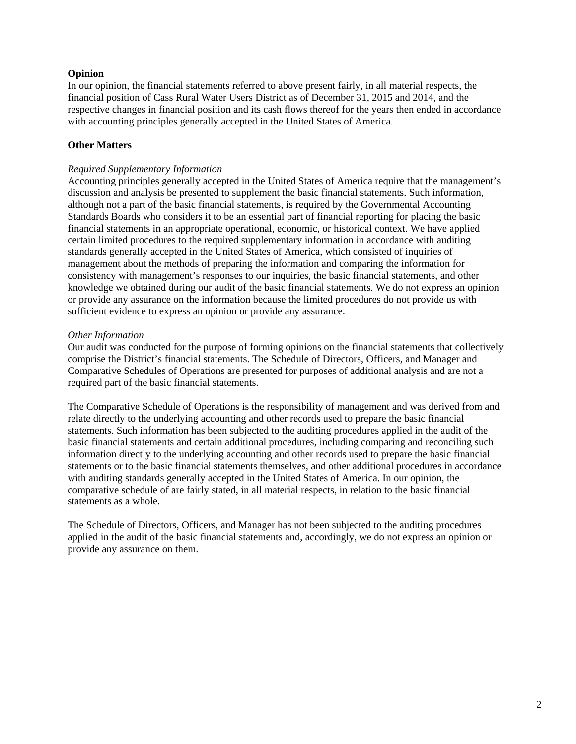## **Opinion**

In our opinion, the financial statements referred to above present fairly, in all material respects, the financial position of Cass Rural Water Users District as of December 31, 2015 and 2014, and the respective changes in financial position and its cash flows thereof for the years then ended in accordance with accounting principles generally accepted in the United States of America.

# **Other Matters**

## *Required Supplementary Information*

Accounting principles generally accepted in the United States of America require that the management's discussion and analysis be presented to supplement the basic financial statements. Such information, although not a part of the basic financial statements, is required by the Governmental Accounting Standards Boards who considers it to be an essential part of financial reporting for placing the basic financial statements in an appropriate operational, economic, or historical context. We have applied certain limited procedures to the required supplementary information in accordance with auditing standards generally accepted in the United States of America, which consisted of inquiries of management about the methods of preparing the information and comparing the information for consistency with management's responses to our inquiries, the basic financial statements, and other knowledge we obtained during our audit of the basic financial statements. We do not express an opinion or provide any assurance on the information because the limited procedures do not provide us with sufficient evidence to express an opinion or provide any assurance.

## *Other Information*

Our audit was conducted for the purpose of forming opinions on the financial statements that collectively comprise the District's financial statements. The Schedule of Directors, Officers, and Manager and Comparative Schedules of Operations are presented for purposes of additional analysis and are not a required part of the basic financial statements.

The Comparative Schedule of Operations is the responsibility of management and was derived from and relate directly to the underlying accounting and other records used to prepare the basic financial statements. Such information has been subjected to the auditing procedures applied in the audit of the basic financial statements and certain additional procedures, including comparing and reconciling such information directly to the underlying accounting and other records used to prepare the basic financial statements or to the basic financial statements themselves, and other additional procedures in accordance with auditing standards generally accepted in the United States of America. In our opinion, the comparative schedule of are fairly stated, in all material respects, in relation to the basic financial statements as a whole.

The Schedule of Directors, Officers, and Manager has not been subjected to the auditing procedures applied in the audit of the basic financial statements and, accordingly, we do not express an opinion or provide any assurance on them.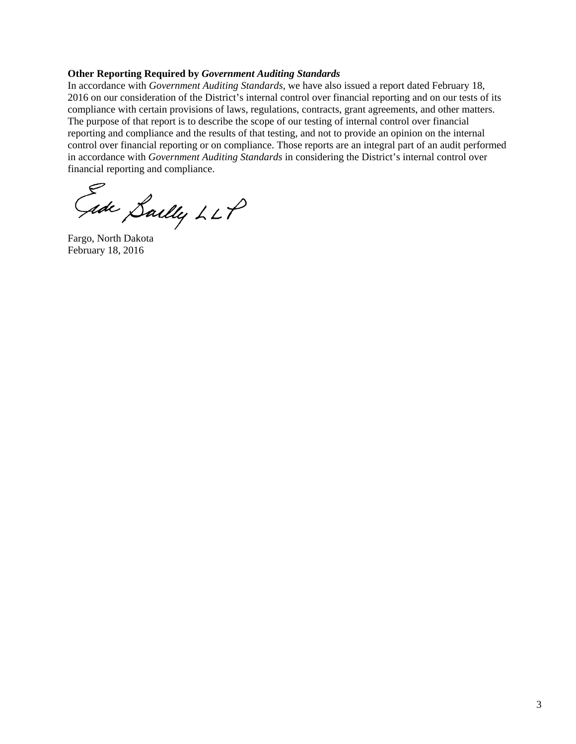#### **Other Reporting Required by** *Government Auditing Standards*

In accordance with *Government Auditing Standards*, we have also issued a report dated February 18, 2016 on our consideration of the District's internal control over financial reporting and on our tests of its compliance with certain provisions of laws, regulations, contracts, grant agreements, and other matters. The purpose of that report is to describe the scope of our testing of internal control over financial reporting and compliance and the results of that testing, and not to provide an opinion on the internal control over financial reporting or on compliance. Those reports are an integral part of an audit performed in accordance with *Government Auditing Standards* in considering the District's internal control over financial reporting and compliance.

Fade Sailly LLP

February 18, 2016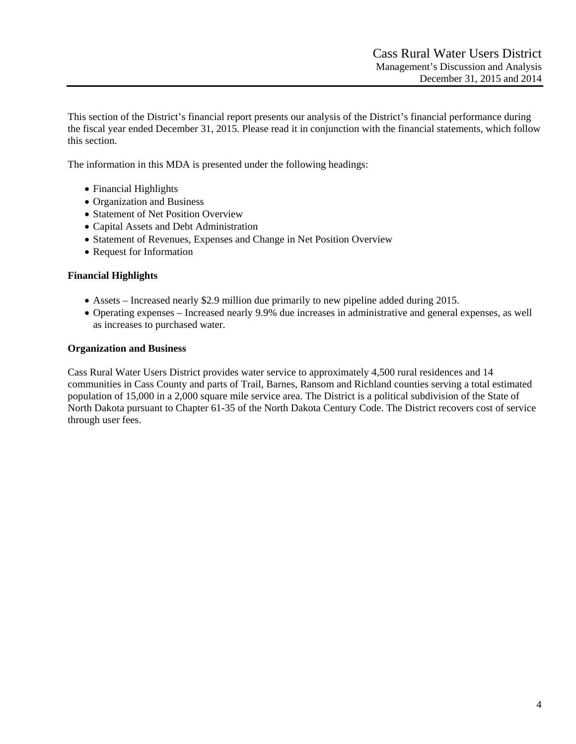This section of the District's financial report presents our analysis of the District's financial performance during the fiscal year ended December 31, 2015. Please read it in conjunction with the financial statements, which follow this section.

The information in this MDA is presented under the following headings:

- Financial Highlights
- Organization and Business
- Statement of Net Position Overview
- Capital Assets and Debt Administration
- Statement of Revenues, Expenses and Change in Net Position Overview
- Request for Information

## **Financial Highlights**

- Assets Increased nearly \$2.9 million due primarily to new pipeline added during 2015.
- Operating expenses Increased nearly 9.9% due increases in administrative and general expenses, as well as increases to purchased water.

## **Organization and Business**

Cass Rural Water Users District provides water service to approximately 4,500 rural residences and 14 communities in Cass County and parts of Trail, Barnes, Ransom and Richland counties serving a total estimated population of 15,000 in a 2,000 square mile service area. The District is a political subdivision of the State of North Dakota pursuant to Chapter 61-35 of the North Dakota Century Code. The District recovers cost of service through user fees.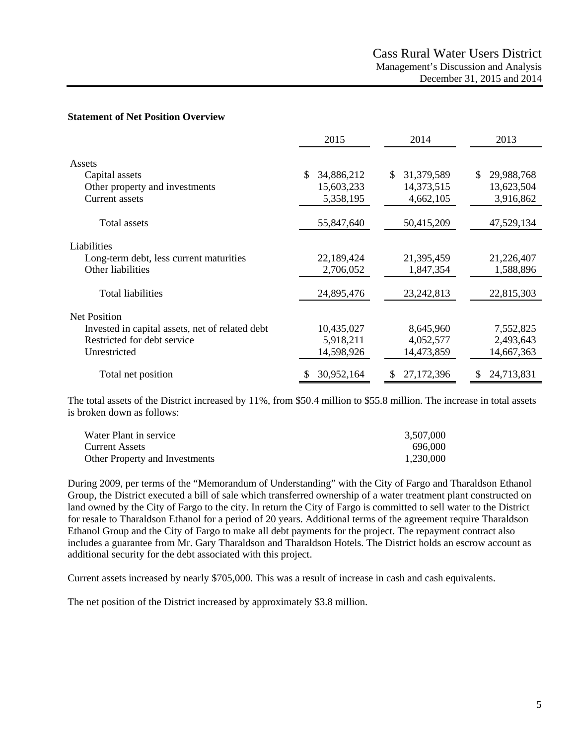#### **Statement of Net Position Overview**

|                                                 | 2015             | 2014              | 2013              |
|-------------------------------------------------|------------------|-------------------|-------------------|
| Assets                                          |                  |                   |                   |
| Capital assets                                  | 34,886,212<br>\$ | 31,379,589<br>\$. | 29,988,768<br>\$. |
| Other property and investments                  | 15,603,233       | 14,373,515        | 13,623,504        |
| <b>Current</b> assets                           | 5,358,195        | 4,662,105         | 3,916,862         |
| Total assets                                    | 55,847,640       | 50,415,209        | 47,529,134        |
| Liabilities                                     |                  |                   |                   |
| Long-term debt, less current maturities         | 22,189,424       | 21,395,459        | 21,226,407        |
| Other liabilities                               | 2,706,052        | 1,847,354         | 1,588,896         |
| <b>Total liabilities</b>                        | 24,895,476       | 23, 242, 813      | 22,815,303        |
|                                                 |                  |                   |                   |
| <b>Net Position</b>                             |                  |                   |                   |
| Invested in capital assets, net of related debt | 10,435,027       | 8,645,960         | 7,552,825         |
| Restricted for debt service                     | 5,918,211        | 4,052,577         | 2,493,643         |
| Unrestricted                                    | 14,598,926       | 14,473,859        | 14,667,363        |
| Total net position                              | 30,952,164       | 27,172,396<br>S   | 24,713,831        |

The total assets of the District increased by 11%, from \$50.4 million to \$55.8 million. The increase in total assets is broken down as follows:

| Water Plant in service         | 3,507,000 |
|--------------------------------|-----------|
| Current Assets                 | 696,000   |
| Other Property and Investments | 1,230,000 |

During 2009, per terms of the "Memorandum of Understanding" with the City of Fargo and Tharaldson Ethanol Group, the District executed a bill of sale which transferred ownership of a water treatment plant constructed on land owned by the City of Fargo to the city. In return the City of Fargo is committed to sell water to the District for resale to Tharaldson Ethanol for a period of 20 years. Additional terms of the agreement require Tharaldson Ethanol Group and the City of Fargo to make all debt payments for the project. The repayment contract also includes a guarantee from Mr. Gary Tharaldson and Tharaldson Hotels. The District holds an escrow account as additional security for the debt associated with this project.

Current assets increased by nearly \$705,000. This was a result of increase in cash and cash equivalents.

The net position of the District increased by approximately \$3.8 million.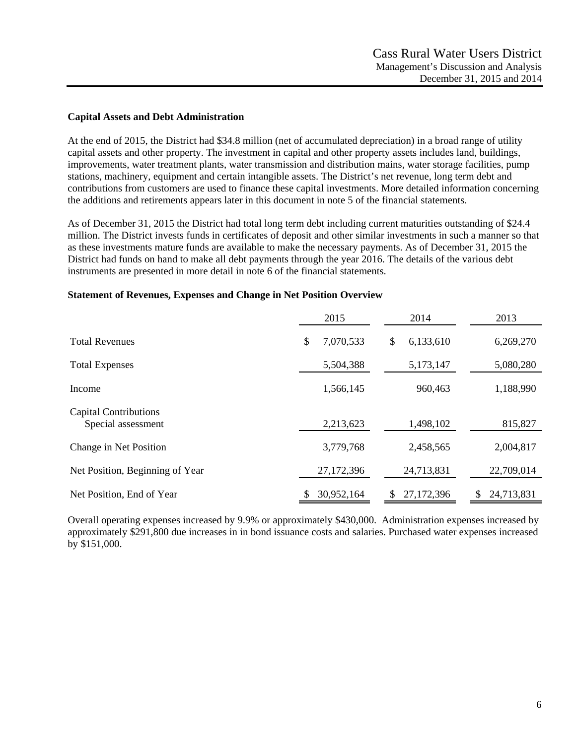## **Capital Assets and Debt Administration**

At the end of 2015, the District had \$34.8 million (net of accumulated depreciation) in a broad range of utility capital assets and other property. The investment in capital and other property assets includes land, buildings, improvements, water treatment plants, water transmission and distribution mains, water storage facilities, pump stations, machinery, equipment and certain intangible assets. The District's net revenue, long term debt and contributions from customers are used to finance these capital investments. More detailed information concerning the additions and retirements appears later in this document in note 5 of the financial statements.

As of December 31, 2015 the District had total long term debt including current maturities outstanding of \$24.4 million. The District invests funds in certificates of deposit and other similar investments in such a manner so that as these investments mature funds are available to make the necessary payments. As of December 31, 2015 the District had funds on hand to make all debt payments through the year 2016. The details of the various debt instruments are presented in more detail in note 6 of the financial statements.

|                                                    | 2015            | 2014             | 2013       |
|----------------------------------------------------|-----------------|------------------|------------|
| <b>Total Revenues</b>                              | \$<br>7,070,533 | \$<br>6,133,610  | 6,269,270  |
| <b>Total Expenses</b>                              | 5,504,388       | 5,173,147        | 5,080,280  |
| Income                                             | 1,566,145       | 960,463          | 1,188,990  |
| <b>Capital Contributions</b><br>Special assessment | 2,213,623       | 1,498,102        | 815,827    |
| Change in Net Position                             | 3,779,768       | 2,458,565        | 2,004,817  |
| Net Position, Beginning of Year                    | 27,172,396      | 24,713,831       | 22,709,014 |
| Net Position, End of Year                          | 30,952,164      | 27,172,396<br>\$ | 24,713,831 |

#### **Statement of Revenues, Expenses and Change in Net Position Overview**

Overall operating expenses increased by 9.9% or approximately \$430,000. Administration expenses increased by approximately \$291,800 due increases in in bond issuance costs and salaries. Purchased water expenses increased by \$151,000.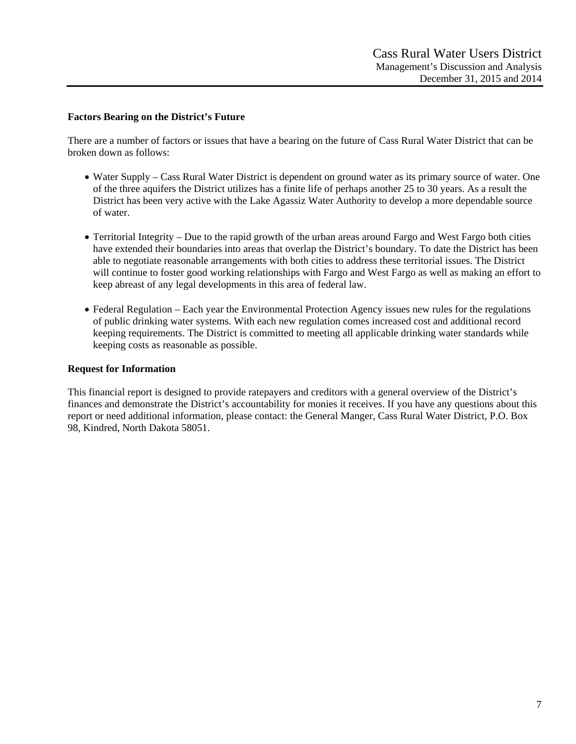## **Factors Bearing on the District's Future**

There are a number of factors or issues that have a bearing on the future of Cass Rural Water District that can be broken down as follows:

- Water Supply Cass Rural Water District is dependent on ground water as its primary source of water. One of the three aquifers the District utilizes has a finite life of perhaps another 25 to 30 years. As a result the District has been very active with the Lake Agassiz Water Authority to develop a more dependable source of water.
- Territorial Integrity Due to the rapid growth of the urban areas around Fargo and West Fargo both cities have extended their boundaries into areas that overlap the District's boundary. To date the District has been able to negotiate reasonable arrangements with both cities to address these territorial issues. The District will continue to foster good working relationships with Fargo and West Fargo as well as making an effort to keep abreast of any legal developments in this area of federal law.
- Federal Regulation Each year the Environmental Protection Agency issues new rules for the regulations of public drinking water systems. With each new regulation comes increased cost and additional record keeping requirements. The District is committed to meeting all applicable drinking water standards while keeping costs as reasonable as possible.

#### **Request for Information**

This financial report is designed to provide ratepayers and creditors with a general overview of the District's finances and demonstrate the District's accountability for monies it receives. If you have any questions about this report or need additional information, please contact: the General Manger, Cass Rural Water District, P.O. Box 98, Kindred, North Dakota 58051.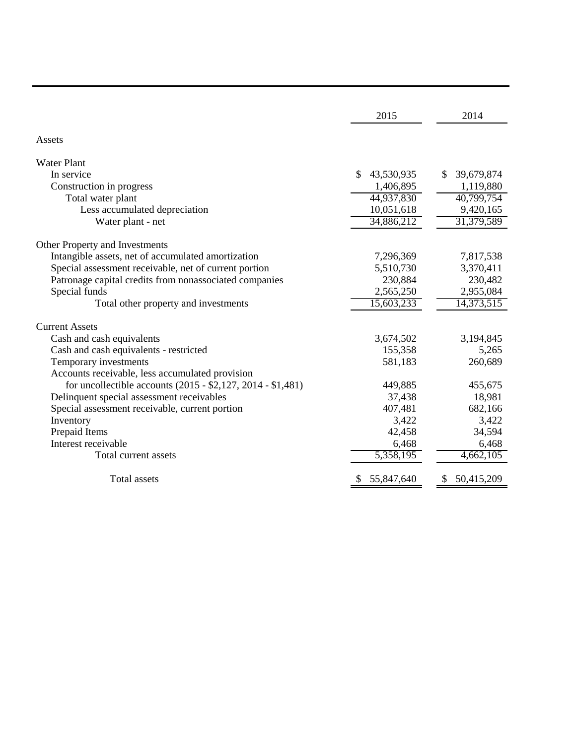|                                                             | 2015             | 2014              |
|-------------------------------------------------------------|------------------|-------------------|
| Assets                                                      |                  |                   |
| <b>Water Plant</b>                                          |                  |                   |
| In service                                                  | 43,530,935<br>\$ | 39,679,874<br>\$. |
| Construction in progress                                    | 1,406,895        | 1,119,880         |
| Total water plant                                           | 44,937,830       | 40,799,754        |
| Less accumulated depreciation                               | 10,051,618       | 9,420,165         |
| Water plant - net                                           | 34,886,212       | 31,379,589        |
| Other Property and Investments                              |                  |                   |
| Intangible assets, net of accumulated amortization          | 7,296,369        | 7,817,538         |
| Special assessment receivable, net of current portion       | 5,510,730        | 3,370,411         |
| Patronage capital credits from nonassociated companies      | 230,884          | 230,482           |
| Special funds                                               | 2,565,250        | 2,955,084         |
| Total other property and investments                        | 15,603,233       | 14,373,515        |
| <b>Current Assets</b>                                       |                  |                   |
| Cash and cash equivalents                                   | 3,674,502        | 3,194,845         |
| Cash and cash equivalents - restricted                      | 155,358          | 5,265             |
| Temporary investments                                       | 581,183          | 260,689           |
| Accounts receivable, less accumulated provision             |                  |                   |
| for uncollectible accounts (2015 - \$2,127, 2014 - \$1,481) | 449,885          | 455,675           |
| Delinquent special assessment receivables                   | 37,438           | 18,981            |
| Special assessment receivable, current portion              | 407,481          | 682,166           |
| Inventory                                                   | 3,422            | 3,422             |
| Prepaid Items                                               | 42,458           | 34,594            |
| Interest receivable                                         | 6,468            | 6,468             |
| Total current assets                                        | 5,358,195        | 4,662,105         |
| <b>Total assets</b>                                         | 55,847,640       | 50,415,209<br>S   |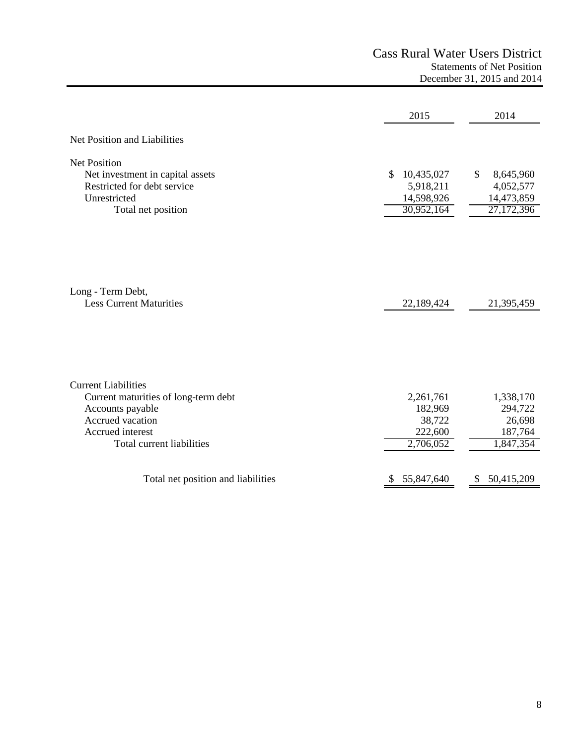|                                                                                                                                                             | 2015                                                      | 2014                                                     |
|-------------------------------------------------------------------------------------------------------------------------------------------------------------|-----------------------------------------------------------|----------------------------------------------------------|
| Net Position and Liabilities                                                                                                                                |                                                           |                                                          |
| <b>Net Position</b><br>Net investment in capital assets<br>Restricted for debt service<br>Unrestricted<br>Total net position                                | 10,435,027<br>\$<br>5,918,211<br>14,598,926<br>30,952,164 | \$<br>8,645,960<br>4,052,577<br>14,473,859<br>27,172,396 |
| Long - Term Debt,<br><b>Less Current Maturities</b>                                                                                                         | 22,189,424                                                | 21,395,459                                               |
| <b>Current Liabilities</b><br>Current maturities of long-term debt<br>Accounts payable<br>Accrued vacation<br>Accrued interest<br>Total current liabilities | 2,261,761<br>182,969<br>38,722<br>222,600<br>2,706,052    | 1,338,170<br>294,722<br>26,698<br>187,764<br>1,847,354   |
| Total net position and liabilities                                                                                                                          | 55,847,640                                                | 50,415,209<br>S                                          |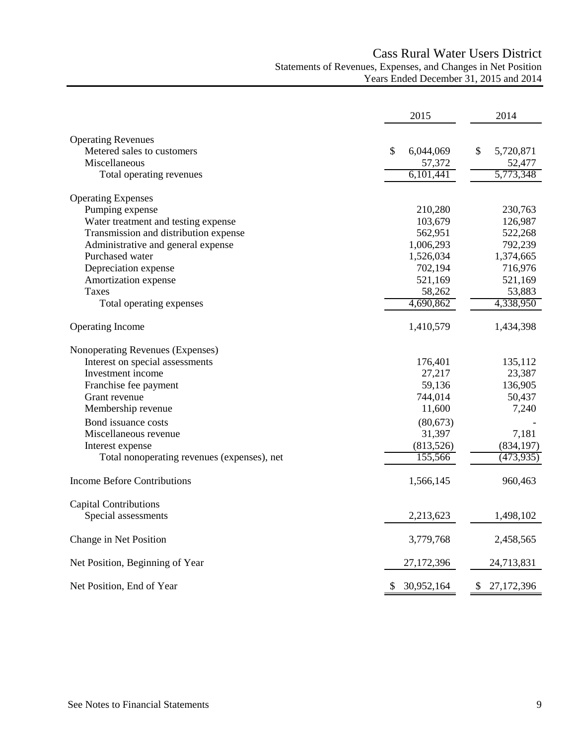# Cass Rural Water Users District Statements of Revenues, Expenses, and Changes in Net Position Years Ended December 31, 2015 and 2014

|                                             | 2015            | 2014               |
|---------------------------------------------|-----------------|--------------------|
| <b>Operating Revenues</b>                   |                 |                    |
| Metered sales to customers                  | \$<br>6,044,069 | \$<br>5,720,871    |
| Miscellaneous                               | 57,372          | 52,477             |
| Total operating revenues                    | 6,101,441       | 5,773,348          |
| <b>Operating Expenses</b>                   |                 |                    |
| Pumping expense                             | 210,280         | 230,763            |
| Water treatment and testing expense         | 103,679         | 126,987            |
| Transmission and distribution expense       | 562,951         | 522,268            |
| Administrative and general expense          | 1,006,293       | 792,239            |
| Purchased water                             | 1,526,034       | 1,374,665          |
| Depreciation expense                        | 702,194         | 716,976            |
| Amortization expense                        | 521,169         | 521,169            |
| Taxes                                       | 58,262          | 53,883             |
| Total operating expenses                    | 4,690,862       | 4,338,950          |
| <b>Operating Income</b>                     | 1,410,579       | 1,434,398          |
| Nonoperating Revenues (Expenses)            |                 |                    |
| Interest on special assessments             | 176,401         | 135,112            |
| Investment income                           | 27,217          | 23,387             |
| Franchise fee payment                       | 59,136          | 136,905            |
| Grant revenue                               | 744,014         | 50,437             |
| Membership revenue                          | 11,600          | 7,240              |
| Bond issuance costs                         | (80,673)        |                    |
| Miscellaneous revenue                       | 31,397          | 7,181              |
| Interest expense                            | (813,526)       | (834, 197)         |
| Total nonoperating revenues (expenses), net | 155,566         | (473, 935)         |
| <b>Income Before Contributions</b>          | 1,566,145       | 960,463            |
| <b>Capital Contributions</b>                |                 |                    |
| Special assessments                         | 2,213,623       | 1,498,102          |
| Change in Net Position                      | 3,779,768       | 2,458,565          |
| Net Position, Beginning of Year             | 27,172,396      | 24,713,831         |
| Net Position, End of Year                   | 30,952,164      | 27, 172, 396<br>P. |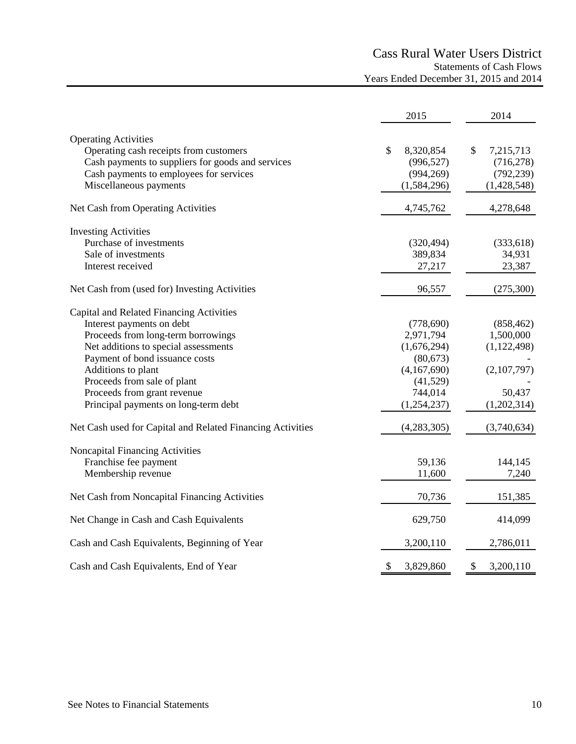# Cass Rural Water Users District Statements of Cash Flows Years Ended December 31, 2015 and 2014

|                                                            | 2015            | 2014            |
|------------------------------------------------------------|-----------------|-----------------|
| <b>Operating Activities</b>                                |                 |                 |
| Operating cash receipts from customers                     | \$<br>8,320,854 | \$<br>7,215,713 |
| Cash payments to suppliers for goods and services          | (996, 527)      | (716, 278)      |
| Cash payments to employees for services                    | (994, 269)      | (792, 239)      |
| Miscellaneous payments                                     | (1,584,296)     | (1,428,548)     |
|                                                            |                 |                 |
| Net Cash from Operating Activities                         | 4,745,762       | 4,278,648       |
| <b>Investing Activities</b>                                |                 |                 |
| Purchase of investments                                    | (320, 494)      | (333, 618)      |
| Sale of investments                                        | 389,834         | 34,931          |
| Interest received                                          | 27,217          | 23,387          |
| Net Cash from (used for) Investing Activities              | 96,557          | (275,300)       |
| Capital and Related Financing Activities                   |                 |                 |
| Interest payments on debt                                  | (778, 690)      | (858, 462)      |
| Proceeds from long-term borrowings                         | 2,971,794       | 1,500,000       |
| Net additions to special assessments                       | (1,676,294)     | (1, 122, 498)   |
| Payment of bond issuance costs                             | (80, 673)       |                 |
| Additions to plant                                         | (4,167,690)     | (2,107,797)     |
| Proceeds from sale of plant                                | (41,529)        |                 |
| Proceeds from grant revenue                                | 744,014         | 50,437          |
| Principal payments on long-term debt                       | (1,254,237)     | (1,202,314)     |
| Net Cash used for Capital and Related Financing Activities | (4,283,305)     | (3,740,634)     |
| Noncapital Financing Activities                            |                 |                 |
| Franchise fee payment                                      | 59,136          | 144,145         |
| Membership revenue                                         | 11,600          | 7,240           |
|                                                            |                 |                 |
| Net Cash from Noncapital Financing Activities              | 70,736          | 151,385         |
| Net Change in Cash and Cash Equivalents                    | 629,750         | 414,099         |
| Cash and Cash Equivalents, Beginning of Year               | 3,200,110       | 2,786,011       |
| Cash and Cash Equivalents, End of Year                     | \$<br>3,829,860 | \$<br>3,200,110 |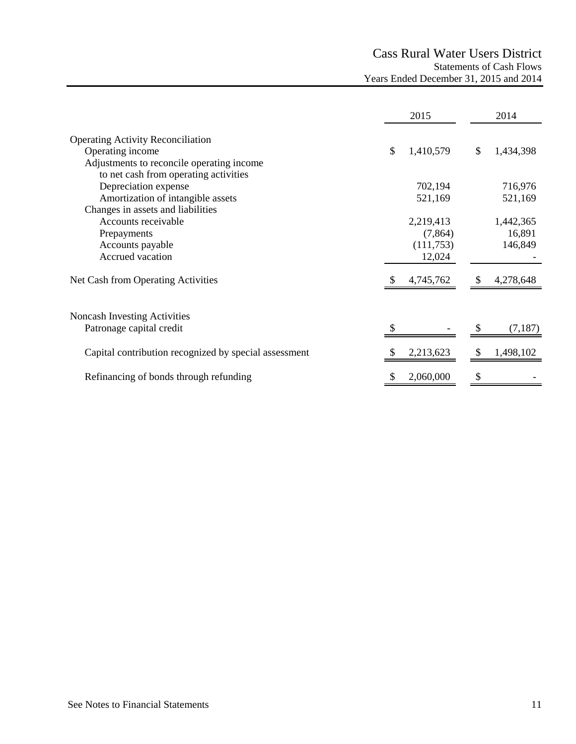# Cass Rural Water Users District Statements of Cash Flows Years Ended December 31, 2015 and 2014

|                                                                                                           | 2015                 |              | 2014                |
|-----------------------------------------------------------------------------------------------------------|----------------------|--------------|---------------------|
| <b>Operating Activity Reconciliation</b><br>Operating income<br>Adjustments to reconcile operating income | \$<br>1,410,579      | $\mathbb{S}$ | 1,434,398           |
| to net cash from operating activities<br>Depreciation expense<br>Amortization of intangible assets        | 702,194<br>521,169   |              | 716,976<br>521,169  |
| Changes in assets and liabilities<br>Accounts receivable<br>Prepayments                                   | 2,219,413<br>(7,864) |              | 1,442,365<br>16,891 |
| Accounts payable<br>Accrued vacation                                                                      | (111,753)<br>12,024  |              | 146,849             |
| Net Cash from Operating Activities                                                                        | 4,745,762            |              | 4,278,648           |
| Noncash Investing Activities<br>Patronage capital credit                                                  |                      |              | (7, 187)            |
| Capital contribution recognized by special assessment                                                     | 2,213,623            | <sup>S</sup> | 1,498,102           |
| Refinancing of bonds through refunding                                                                    | 2,060,000            | \$           |                     |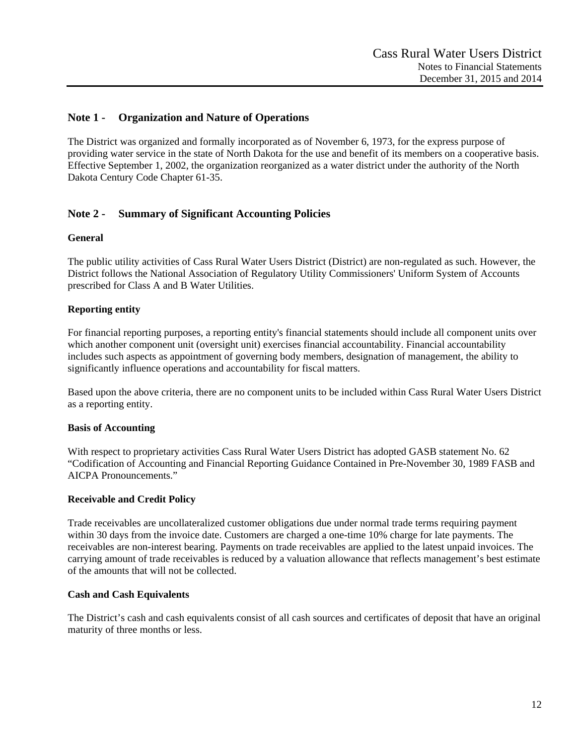# **Note 1 - Organization and Nature of Operations**

The District was organized and formally incorporated as of November 6, 1973, for the express purpose of providing water service in the state of North Dakota for the use and benefit of its members on a cooperative basis. Effective September 1, 2002, the organization reorganized as a water district under the authority of the North Dakota Century Code Chapter 61-35.

# **Note 2 - Summary of Significant Accounting Policies**

#### **General**

The public utility activities of Cass Rural Water Users District (District) are non-regulated as such. However, the District follows the National Association of Regulatory Utility Commissioners' Uniform System of Accounts prescribed for Class A and B Water Utilities.

## **Reporting entity**

For financial reporting purposes, a reporting entity's financial statements should include all component units over which another component unit (oversight unit) exercises financial accountability. Financial accountability includes such aspects as appointment of governing body members, designation of management, the ability to significantly influence operations and accountability for fiscal matters.

Based upon the above criteria, there are no component units to be included within Cass Rural Water Users District as a reporting entity.

#### **Basis of Accounting**

With respect to proprietary activities Cass Rural Water Users District has adopted GASB statement No. 62 "Codification of Accounting and Financial Reporting Guidance Contained in Pre-November 30, 1989 FASB and AICPA Pronouncements."

#### **Receivable and Credit Policy**

Trade receivables are uncollateralized customer obligations due under normal trade terms requiring payment within 30 days from the invoice date. Customers are charged a one-time 10% charge for late payments. The receivables are non-interest bearing. Payments on trade receivables are applied to the latest unpaid invoices. The carrying amount of trade receivables is reduced by a valuation allowance that reflects management's best estimate of the amounts that will not be collected.

#### **Cash and Cash Equivalents**

The District's cash and cash equivalents consist of all cash sources and certificates of deposit that have an original maturity of three months or less.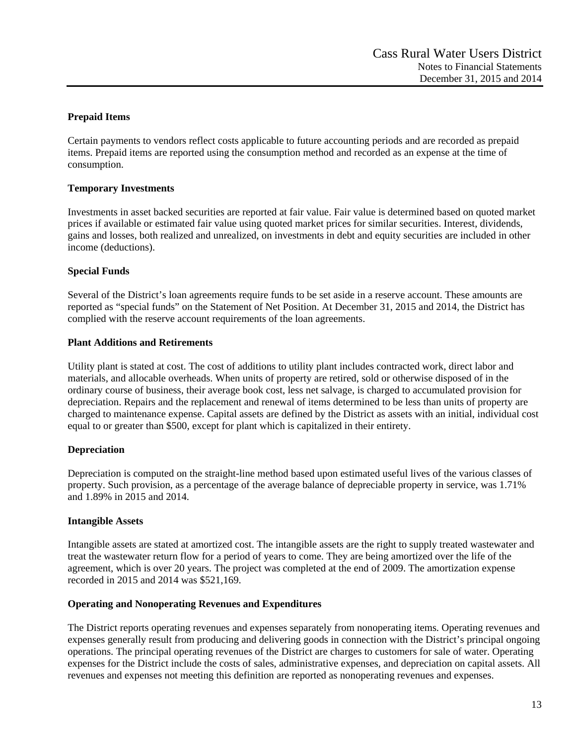# **Prepaid Items**

Certain payments to vendors reflect costs applicable to future accounting periods and are recorded as prepaid items. Prepaid items are reported using the consumption method and recorded as an expense at the time of consumption.

## **Temporary Investments**

Investments in asset backed securities are reported at fair value. Fair value is determined based on quoted market prices if available or estimated fair value using quoted market prices for similar securities. Interest, dividends, gains and losses, both realized and unrealized, on investments in debt and equity securities are included in other income (deductions).

# **Special Funds**

Several of the District's loan agreements require funds to be set aside in a reserve account. These amounts are reported as "special funds" on the Statement of Net Position. At December 31, 2015 and 2014, the District has complied with the reserve account requirements of the loan agreements.

## **Plant Additions and Retirements**

Utility plant is stated at cost. The cost of additions to utility plant includes contracted work, direct labor and materials, and allocable overheads. When units of property are retired, sold or otherwise disposed of in the ordinary course of business, their average book cost, less net salvage, is charged to accumulated provision for depreciation. Repairs and the replacement and renewal of items determined to be less than units of property are charged to maintenance expense. Capital assets are defined by the District as assets with an initial, individual cost equal to or greater than \$500, except for plant which is capitalized in their entirety.

## **Depreciation**

Depreciation is computed on the straight-line method based upon estimated useful lives of the various classes of property. Such provision, as a percentage of the average balance of depreciable property in service, was 1.71% and 1.89% in 2015 and 2014.

## **Intangible Assets**

Intangible assets are stated at amortized cost. The intangible assets are the right to supply treated wastewater and treat the wastewater return flow for a period of years to come. They are being amortized over the life of the agreement, which is over 20 years. The project was completed at the end of 2009. The amortization expense recorded in 2015 and 2014 was \$521,169.

## **Operating and Nonoperating Revenues and Expenditures**

The District reports operating revenues and expenses separately from nonoperating items. Operating revenues and expenses generally result from producing and delivering goods in connection with the District's principal ongoing operations. The principal operating revenues of the District are charges to customers for sale of water. Operating expenses for the District include the costs of sales, administrative expenses, and depreciation on capital assets. All revenues and expenses not meeting this definition are reported as nonoperating revenues and expenses.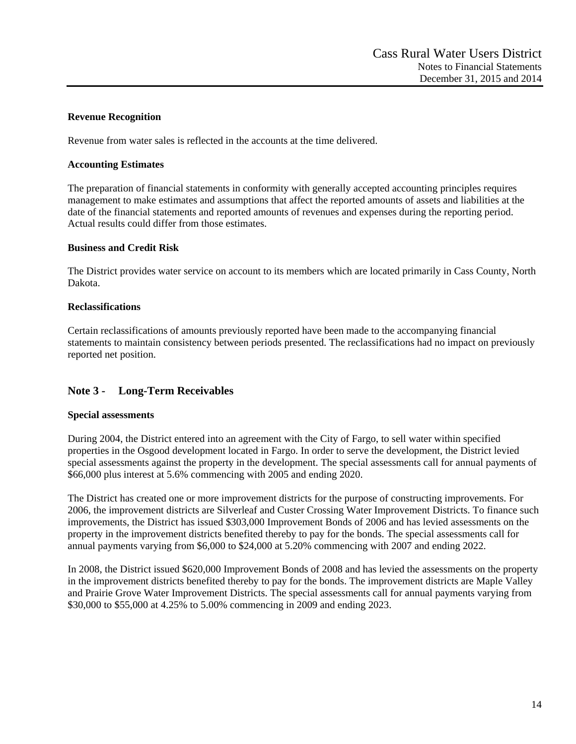# **Revenue Recognition**

Revenue from water sales is reflected in the accounts at the time delivered.

#### **Accounting Estimates**

The preparation of financial statements in conformity with generally accepted accounting principles requires management to make estimates and assumptions that affect the reported amounts of assets and liabilities at the date of the financial statements and reported amounts of revenues and expenses during the reporting period. Actual results could differ from those estimates.

## **Business and Credit Risk**

The District provides water service on account to its members which are located primarily in Cass County, North Dakota.

## **Reclassifications**

Certain reclassifications of amounts previously reported have been made to the accompanying financial statements to maintain consistency between periods presented. The reclassifications had no impact on previously reported net position.

# **Note 3 - Long-Term Receivables**

## **Special assessments**

During 2004, the District entered into an agreement with the City of Fargo, to sell water within specified properties in the Osgood development located in Fargo. In order to serve the development, the District levied special assessments against the property in the development. The special assessments call for annual payments of \$66,000 plus interest at 5.6% commencing with 2005 and ending 2020.

The District has created one or more improvement districts for the purpose of constructing improvements. For 2006, the improvement districts are Silverleaf and Custer Crossing Water Improvement Districts. To finance such improvements, the District has issued \$303,000 Improvement Bonds of 2006 and has levied assessments on the property in the improvement districts benefited thereby to pay for the bonds. The special assessments call for annual payments varying from \$6,000 to \$24,000 at 5.20% commencing with 2007 and ending 2022.

In 2008, the District issued \$620,000 Improvement Bonds of 2008 and has levied the assessments on the property in the improvement districts benefited thereby to pay for the bonds. The improvement districts are Maple Valley and Prairie Grove Water Improvement Districts. The special assessments call for annual payments varying from \$30,000 to \$55,000 at 4.25% to 5.00% commencing in 2009 and ending 2023.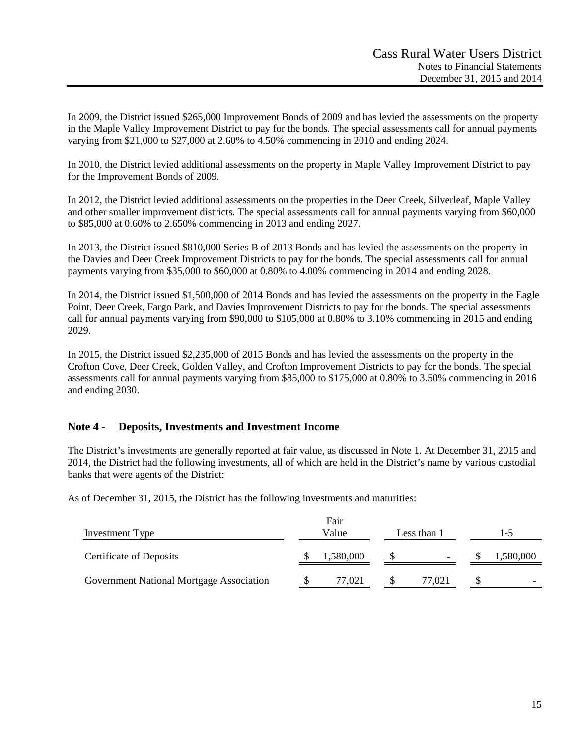In 2009, the District issued \$265,000 Improvement Bonds of 2009 and has levied the assessments on the property in the Maple Valley Improvement District to pay for the bonds. The special assessments call for annual payments varying from \$21,000 to \$27,000 at 2.60% to 4.50% commencing in 2010 and ending 2024.

In 2010, the District levied additional assessments on the property in Maple Valley Improvement District to pay for the Improvement Bonds of 2009.

In 2012, the District levied additional assessments on the properties in the Deer Creek, Silverleaf, Maple Valley and other smaller improvement districts. The special assessments call for annual payments varying from \$60,000 to \$85,000 at 0.60% to 2.650% commencing in 2013 and ending 2027.

In 2013, the District issued \$810,000 Series B of 2013 Bonds and has levied the assessments on the property in the Davies and Deer Creek Improvement Districts to pay for the bonds. The special assessments call for annual payments varying from \$35,000 to \$60,000 at 0.80% to 4.00% commencing in 2014 and ending 2028.

In 2014, the District issued \$1,500,000 of 2014 Bonds and has levied the assessments on the property in the Eagle Point, Deer Creek, Fargo Park, and Davies Improvement Districts to pay for the bonds. The special assessments call for annual payments varying from \$90,000 to \$105,000 at 0.80% to 3.10% commencing in 2015 and ending 2029.

In 2015, the District issued \$2,235,000 of 2015 Bonds and has levied the assessments on the property in the Crofton Cove, Deer Creek, Golden Valley, and Crofton Improvement Districts to pay for the bonds. The special assessments call for annual payments varying from \$85,000 to \$175,000 at 0.80% to 3.50% commencing in 2016 and ending 2030.

# **Note 4 - Deposits, Investments and Investment Income**

The District's investments are generally reported at fair value, as discussed in Note 1. At December 31, 2015 and 2014, the District had the following investments, all of which are held in the District's name by various custodial banks that were agents of the District:

As of December 31, 2015, the District has the following investments and maturities:

| Investment Type                          | Fair<br>Value<br>Less than 1 |           |  | $-5$                     |  |                          |
|------------------------------------------|------------------------------|-----------|--|--------------------------|--|--------------------------|
| <b>Certificate of Deposits</b>           |                              | 1,580,000 |  | $\overline{\phantom{a}}$ |  | 1,580,000                |
| Government National Mortgage Association |                              | 77.021    |  | 77.021                   |  | $\overline{\phantom{0}}$ |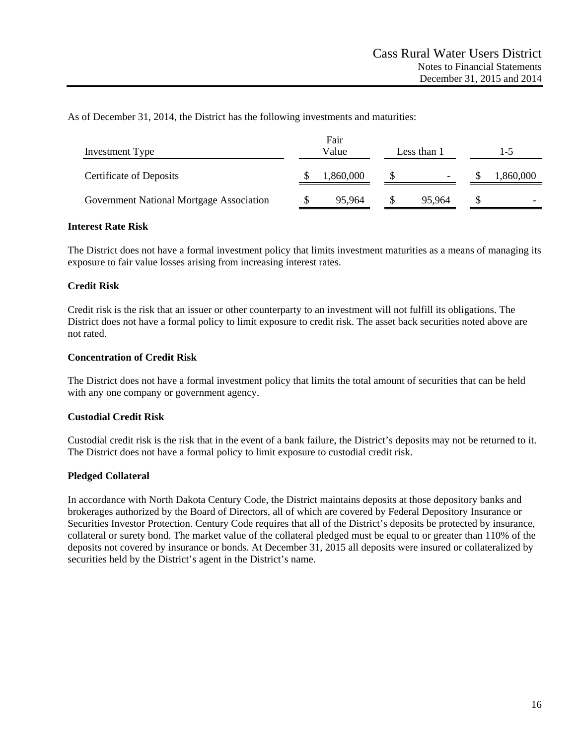As of December 31, 2014, the District has the following investments and maturities:

| Investment Type                          | Fair<br>Value<br>Less than 1 |           |  | I –5                     |  |          |
|------------------------------------------|------------------------------|-----------|--|--------------------------|--|----------|
| <b>Certificate of Deposits</b>           |                              | 1,860,000 |  | $\overline{\phantom{0}}$ |  | ,860,000 |
| Government National Mortgage Association |                              | 95,964    |  | 95,964                   |  |          |

## **Interest Rate Risk**

The District does not have a formal investment policy that limits investment maturities as a means of managing its exposure to fair value losses arising from increasing interest rates.

## **Credit Risk**

Credit risk is the risk that an issuer or other counterparty to an investment will not fulfill its obligations. The District does not have a formal policy to limit exposure to credit risk. The asset back securities noted above are not rated.

#### **Concentration of Credit Risk**

The District does not have a formal investment policy that limits the total amount of securities that can be held with any one company or government agency.

## **Custodial Credit Risk**

Custodial credit risk is the risk that in the event of a bank failure, the District's deposits may not be returned to it. The District does not have a formal policy to limit exposure to custodial credit risk.

#### **Pledged Collateral**

In accordance with North Dakota Century Code, the District maintains deposits at those depository banks and brokerages authorized by the Board of Directors, all of which are covered by Federal Depository Insurance or Securities Investor Protection. Century Code requires that all of the District's deposits be protected by insurance, collateral or surety bond. The market value of the collateral pledged must be equal to or greater than 110% of the deposits not covered by insurance or bonds. At December 31, 2015 all deposits were insured or collateralized by securities held by the District's agent in the District's name.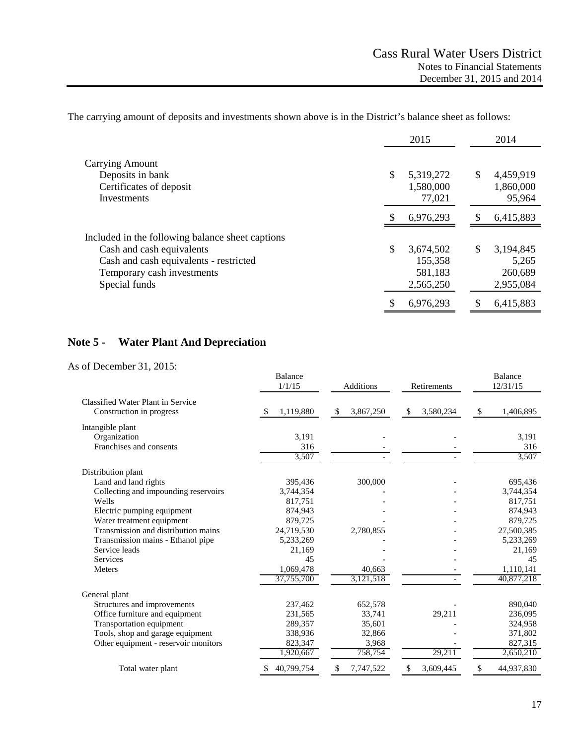The carrying amount of deposits and investments shown above is in the District's balance sheet as follows:

|                                                  | 2015            | 2014            |
|--------------------------------------------------|-----------------|-----------------|
| <b>Carrying Amount</b>                           |                 |                 |
| Deposits in bank                                 | \$<br>5,319,272 | \$<br>4,459,919 |
| Certificates of deposit                          | 1,580,000       | 1,860,000       |
| Investments                                      | 77,021          | 95,964          |
|                                                  | 6,976,293       | \$<br>6,415,883 |
| Included in the following balance sheet captions |                 |                 |
| Cash and cash equivalents                        | \$<br>3,674,502 | \$<br>3,194,845 |
| Cash and cash equivalents - restricted           | 155,358         | 5,265           |
| Temporary cash investments                       | 581,183         | 260,689         |
| Special funds                                    | 2,565,250       | 2,955,084       |
|                                                  | 6,976,293       | 6,415,883       |

# **Note 5 - Water Plant And Depreciation**

As of December 31, 2015:

|                                                               | <b>Balance</b><br>1/1/15 | <b>Additions</b> |                | <b>Balance</b><br>12/31/15 |  |
|---------------------------------------------------------------|--------------------------|------------------|----------------|----------------------------|--|
| Classified Water Plant in Service<br>Construction in progress | 1,119,880                | 3,867,250<br>\$  | 3,580,234<br>S | 1,406,895<br>S             |  |
| Intangible plant                                              |                          |                  |                |                            |  |
| Organization                                                  | 3,191                    |                  |                | 3,191                      |  |
| Franchises and consents                                       | 316                      |                  |                | 316                        |  |
|                                                               | 3,507                    |                  |                | 3,507                      |  |
| Distribution plant                                            |                          |                  |                |                            |  |
| Land and land rights                                          | 395,436                  | 300,000          |                | 695,436                    |  |
| Collecting and impounding reservoirs                          | 3,744,354                |                  |                | 3,744,354                  |  |
| Wells                                                         | 817,751                  |                  |                | 817,751                    |  |
| Electric pumping equipment                                    | 874,943                  |                  |                | 874,943                    |  |
| Water treatment equipment                                     | 879,725                  |                  |                | 879,725                    |  |
| Transmission and distribution mains                           | 24,719,530               | 2,780,855        |                | 27,500,385                 |  |
| Transmission mains - Ethanol pipe                             | 5,233,269                |                  |                | 5,233,269                  |  |
| Service leads                                                 | 21,169                   |                  |                | 21,169                     |  |
| Services                                                      | 45                       |                  |                | 45                         |  |
| Meters                                                        | 1,069,478                | 40,663           |                | 1,110,141                  |  |
|                                                               | 37,755,700               | 3,121,518        |                | 40,877,218                 |  |
| General plant                                                 |                          |                  |                |                            |  |
| Structures and improvements                                   | 237,462                  | 652,578          |                | 890,040                    |  |
| Office furniture and equipment                                | 231,565                  | 33,741           | 29,211         | 236,095                    |  |
| Transportation equipment                                      | 289,357                  | 35,601           |                | 324,958                    |  |
| Tools, shop and garage equipment                              | 338,936                  | 32,866           |                | 371,802                    |  |
| Other equipment - reservoir monitors                          | 823,347                  | 3,968            |                | 827,315                    |  |
|                                                               | 1,920,667                | 758,754          | 29,211         | 2,650,210                  |  |
| Total water plant                                             | 40,799,754               | 7,747,522<br>\$  | 3,609,445      | 44,937,830<br>\$           |  |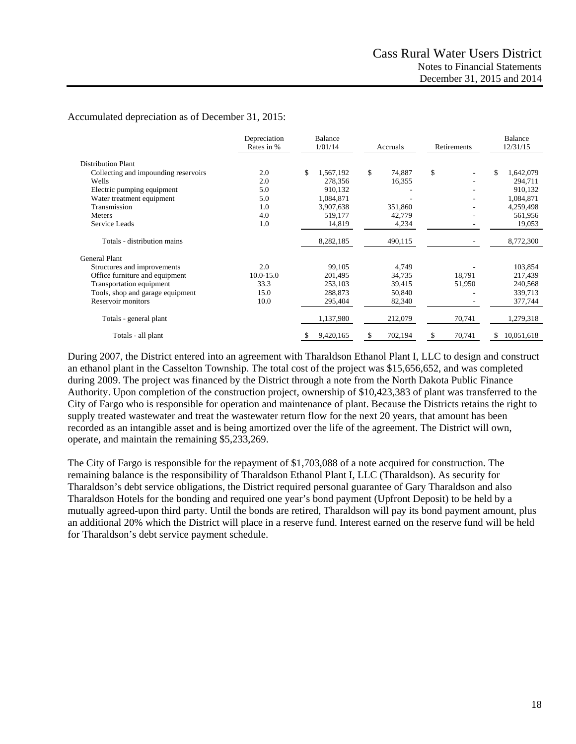#### Accumulated depreciation as of December 31, 2015:

|                                      | Depreciation<br>Rates in % | <b>Balance</b><br>1/01/14 | Accruals      |              | Balance<br>12/31/15 |  |
|--------------------------------------|----------------------------|---------------------------|---------------|--------------|---------------------|--|
| <b>Distribution Plant</b>            |                            |                           |               |              |                     |  |
| Collecting and impounding reservoirs | 2.0                        | \$<br>1,567,192           | \$<br>74,887  | \$           | \$<br>1,642,079     |  |
| Wells                                | 2.0                        | 278,356                   | 16,355        |              | 294,711             |  |
| Electric pumping equipment           | 5.0                        | 910,132                   |               |              | 910,132             |  |
| Water treatment equipment            | 5.0                        | 1,084,871                 |               |              | 1,084,871           |  |
| Transmission                         | 1.0                        | 3,907,638                 | 351,860       |              | 4,259,498           |  |
| Meters                               | 4.0                        | 519,177                   | 42,779        |              | 561,956             |  |
| Service Leads                        | 1.0                        | 14,819                    | 4,234         |              | 19,053              |  |
| Totals - distribution mains          |                            | 8,282,185                 | 490,115       |              | 8,772,300           |  |
| <b>General Plant</b>                 |                            |                           |               |              |                     |  |
| Structures and improvements          | 2.0                        | 99,105                    | 4,749         |              | 103,854             |  |
| Office furniture and equipment       | 10.0-15.0                  | 201,495                   | 34,735        | 18,791       | 217,439             |  |
| Transportation equipment             | 33.3                       | 253,103                   | 39,415        | 51,950       | 240,568             |  |
| Tools, shop and garage equipment     | 15.0                       | 288,873                   | 50,840        |              | 339,713             |  |
| Reservoir monitors                   | 10.0                       | 295,404                   | 82,340        |              | 377,744             |  |
| Totals - general plant               |                            | 1,137,980                 | 212,079       | 70,741       | 1,279,318           |  |
| Totals - all plant                   |                            | 9,420,165<br>\$           | \$<br>702,194 | 70,741<br>\$ | 10,051,618<br>\$    |  |

During 2007, the District entered into an agreement with Tharaldson Ethanol Plant I, LLC to design and construct an ethanol plant in the Casselton Township. The total cost of the project was \$15,656,652, and was completed during 2009. The project was financed by the District through a note from the North Dakota Public Finance Authority. Upon completion of the construction project, ownership of \$10,423,383 of plant was transferred to the City of Fargo who is responsible for operation and maintenance of plant. Because the Districts retains the right to supply treated wastewater and treat the wastewater return flow for the next 20 years, that amount has been recorded as an intangible asset and is being amortized over the life of the agreement. The District will own, operate, and maintain the remaining \$5,233,269.

The City of Fargo is responsible for the repayment of \$1,703,088 of a note acquired for construction. The remaining balance is the responsibility of Tharaldson Ethanol Plant I, LLC (Tharaldson). As security for Tharaldson's debt service obligations, the District required personal guarantee of Gary Tharaldson and also Tharaldson Hotels for the bonding and required one year's bond payment (Upfront Deposit) to be held by a mutually agreed-upon third party. Until the bonds are retired, Tharaldson will pay its bond payment amount, plus an additional 20% which the District will place in a reserve fund. Interest earned on the reserve fund will be held for Tharaldson's debt service payment schedule.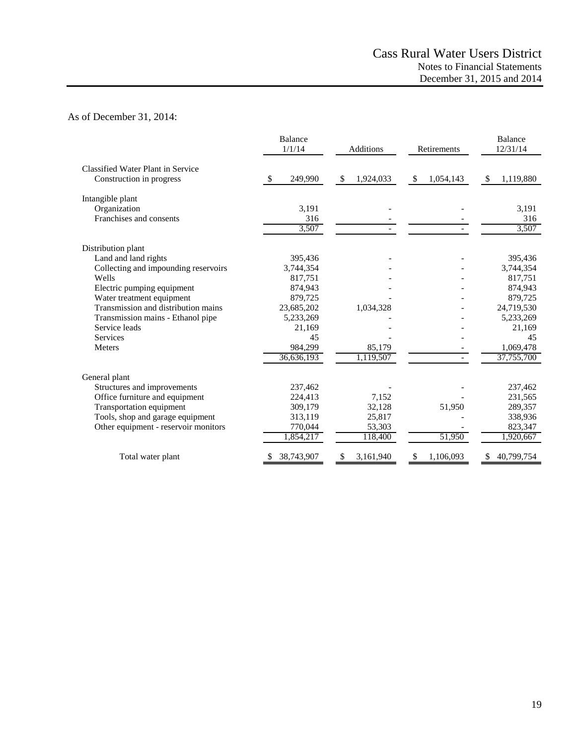# As of December 31, 2014:

|                                      | <b>Balance</b><br>1/1/14 | <b>Additions</b> | Retirements     | <b>Balance</b><br>12/31/14 |
|--------------------------------------|--------------------------|------------------|-----------------|----------------------------|
| Classified Water Plant in Service    |                          |                  |                 |                            |
| Construction in progress             | 249,990<br>S             | \$<br>1,924,033  | \$<br>1,054,143 | \$<br>1,119,880            |
| Intangible plant                     |                          |                  |                 |                            |
| Organization                         | 3.191                    |                  |                 | 3,191                      |
| Franchises and consents              | 316                      |                  |                 | 316                        |
|                                      | 3,507                    |                  |                 | 3,507                      |
| Distribution plant                   |                          |                  |                 |                            |
| Land and land rights                 | 395,436                  |                  |                 | 395,436                    |
| Collecting and impounding reservoirs | 3,744,354                |                  |                 | 3,744,354                  |
| Wells                                | 817,751                  |                  |                 | 817,751                    |
| Electric pumping equipment           | 874,943                  |                  |                 | 874,943                    |
| Water treatment equipment            | 879,725                  |                  |                 | 879,725                    |
| Transmission and distribution mains  | 23,685,202               | 1,034,328        |                 | 24,719,530                 |
| Transmission mains - Ethanol pipe    | 5,233,269                |                  |                 | 5,233,269                  |
| Service leads                        | 21,169                   |                  |                 | 21,169                     |
| <b>Services</b>                      | 45                       |                  |                 | 45                         |
| <b>Meters</b>                        | 984,299                  | 85,179           |                 | 1,069,478                  |
|                                      | 36,636,193               | 1,119,507        |                 | 37,755,700                 |
| General plant                        |                          |                  |                 |                            |
| Structures and improvements          | 237,462                  |                  |                 | 237,462                    |
| Office furniture and equipment       | 224,413                  | 7,152            |                 | 231,565                    |
| Transportation equipment             | 309,179                  | 32,128           | 51,950          | 289,357                    |
| Tools, shop and garage equipment     | 313,119                  | 25,817           |                 | 338,936                    |
| Other equipment - reservoir monitors | 770,044                  | 53,303           |                 | 823,347                    |
|                                      | 1,854,217                | 118,400          | 51,950          | 1,920,667                  |
| Total water plant                    | 38,743,907               | 3,161,940        | \$<br>1,106,093 | 40,799,754                 |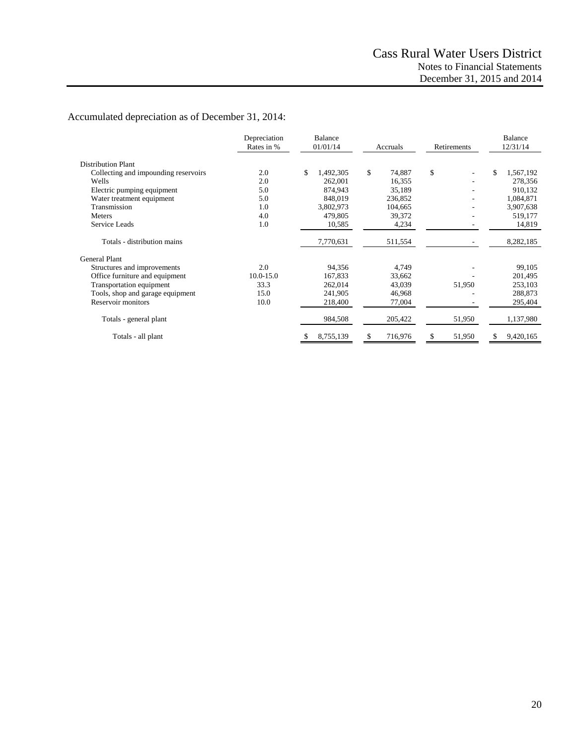# Accumulated depreciation as of December 31, 2014:

|                                      | Depreciation<br>Rates in % | <b>Balance</b><br>01/01/14 | Accruals     | Retirements | <b>Balance</b><br>12/31/14 |  |
|--------------------------------------|----------------------------|----------------------------|--------------|-------------|----------------------------|--|
| <b>Distribution Plant</b>            |                            |                            |              |             |                            |  |
| Collecting and impounding reservoirs | 2.0                        | \$<br>1,492,305            | \$<br>74.887 | \$          | \$<br>1,567,192            |  |
| Wells                                | 2.0                        | 262,001                    | 16,355       |             | 278,356                    |  |
| Electric pumping equipment           | 5.0                        | 874,943                    | 35,189       |             | 910,132                    |  |
| Water treatment equipment            | 5.0                        | 848,019                    | 236,852      |             | 1,084,871                  |  |
| Transmission                         | 1.0                        | 3,802,973                  | 104,665      |             | 3,907,638                  |  |
| Meters                               | 4.0                        | 479,805                    | 39,372       |             | 519,177                    |  |
| Service Leads                        | 1.0                        | 10,585                     | 4,234        |             | 14,819                     |  |
| Totals - distribution mains          |                            | 7,770,631                  | 511,554      |             | 8,282,185                  |  |
| <b>General Plant</b>                 |                            |                            |              |             |                            |  |
| Structures and improvements          | 2.0                        | 94,356                     | 4,749        |             | 99,105                     |  |
| Office furniture and equipment       | $10.0 - 15.0$              | 167,833                    | 33,662       |             | 201,495                    |  |
| Transportation equipment             | 33.3                       | 262,014                    | 43,039       | 51,950      | 253,103                    |  |
| Tools, shop and garage equipment     | 15.0                       | 241,905                    | 46,968       |             | 288,873                    |  |
| Reservoir monitors                   | 10.0                       | 218,400                    | 77,004       |             | 295,404                    |  |
| Totals - general plant               |                            | 984,508                    | 205,422      | 51,950      | 1,137,980                  |  |
| Totals - all plant                   |                            | 8,755,139<br>S             | 716,976<br>S | 51,950<br>S | 9,420,165<br>\$            |  |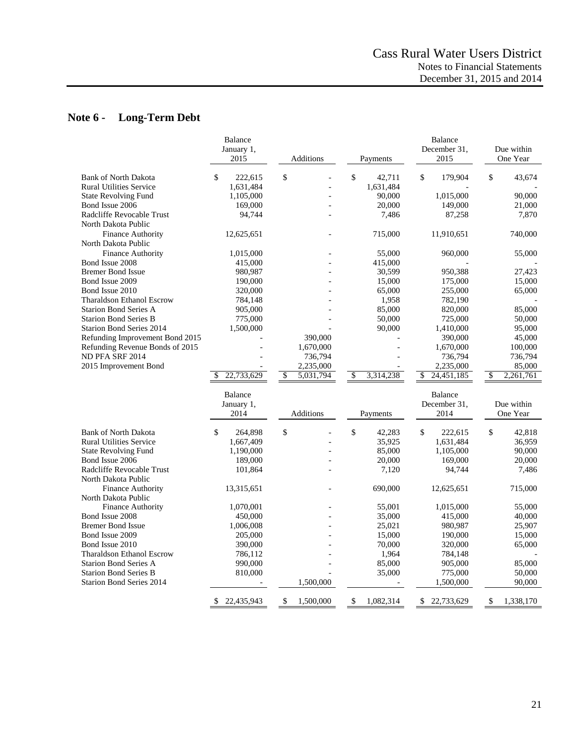# **Note 6 - Long-Term Debt**

| \$<br>\$<br>\$<br>\$<br>\$<br><b>Bank of North Dakota</b><br>42,711<br>179,904<br>43,674<br>222,615<br><b>Rural Utilities Service</b><br>1,631,484<br>1,631,484<br>90,000<br>1,015,000<br>90,000<br><b>State Revolving Fund</b><br>1,105,000<br>Bond Issue 2006<br>20,000<br>169,000<br>149,000<br>21,000<br>Radcliffe Revocable Trust<br>94,744<br>7,486<br>87,258<br>7,870<br>North Dakota Public<br>Finance Authority<br>11,910,651<br>740,000<br>12,625,651<br>715,000<br>North Dakota Public<br><b>Finance Authority</b><br>1,015,000<br>55,000<br>960,000<br>55,000<br>Bond Issue 2008<br>415,000<br>415,000<br><b>Bremer Bond Issue</b><br>30,599<br>980,987<br>950,388<br>27,423<br>Bond Issue 2009<br>15,000<br>175,000<br>15,000<br>190,000<br>Bond Issue 2010<br>65,000<br>255,000<br>65,000<br>320,000<br><b>Tharaldson Ethanol Escrow</b><br>1,958<br>784,148<br>782,190<br><b>Starion Bond Series A</b><br>85,000<br>905,000<br>820,000<br>85,000<br>50,000<br><b>Starion Bond Series B</b><br>775,000<br>725,000<br>50,000<br><b>Starion Bond Series 2014</b><br>90,000<br>1,410,000<br>95,000<br>1,500,000<br>390,000<br>45,000<br>Refunding Improvement Bond 2015<br>390,000<br>Refunding Revenue Bonds of 2015<br>1,670,000<br>1,670,000<br>100,000<br>ND PFA SRF 2014<br>736,794<br>736,794<br>736,794<br>2,235,000<br>85,000<br>2015 Improvement Bond<br>2,235,000<br>22,733,629<br>$\overline{\mathcal{S}}$<br>5,031,794<br>$\overline{\mathcal{S}}$<br>3,314,238<br>$\overline{\mathcal{S}}$<br>24,451,185<br>\$<br>2,261,761<br>S<br><b>Balance</b><br>Balance<br>December 31,<br>January 1,<br>Due within<br>2014<br>Additions<br>2014<br>One Year<br>Payments<br>\$<br>\$<br>\$<br>\$<br>\$<br>42,818<br><b>Bank of North Dakota</b><br>264,898<br>42,283<br>222,615<br><b>Rural Utilities Service</b><br>35,925<br>1,631,484<br>36,959<br>1,667,409<br>85,000<br>90,000<br><b>State Revolving Fund</b><br>1,190,000<br>1,105,000<br>Bond Issue 2006<br>189,000<br>20,000<br>169,000<br>20,000<br>Radcliffe Revocable Trust<br>7,120<br>7,486<br>101,864<br>94,744<br>North Dakota Public<br>690,000<br><b>Finance Authority</b><br>13,315,651<br>12,625,651<br>715,000<br>North Dakota Public<br>55,001<br>55,000<br><b>Finance Authority</b><br>1,070,001<br>1,015,000<br>Bond Issue 2008<br>35,000<br>40,000<br>450,000<br>415,000<br><b>Bremer Bond Issue</b><br>1,006,008<br>25,021<br>980,987<br>25,907<br>Bond Issue 2009<br>15,000<br>190,000<br>15,000<br>205,000<br>Bond Issue 2010<br>390,000<br>70,000<br>65,000<br>320,000<br>1,964<br><b>Tharaldson Ethanol Escrow</b><br>786,112<br>784,148<br>85,000<br>85,000<br><b>Starion Bond Series A</b><br>990,000<br>905,000<br><b>Starion Bond Series B</b><br>810,000<br>35,000<br>775,000<br>50,000<br><b>Starion Bond Series 2014</b><br>1,500,000<br>1,500,000<br>90,000 | <b>Balance</b><br>January 1,<br>2015<br>Additions |                 | Payments        | Balance<br>December 31,<br>2015 | Due within<br>One Year |  |
|----------------------------------------------------------------------------------------------------------------------------------------------------------------------------------------------------------------------------------------------------------------------------------------------------------------------------------------------------------------------------------------------------------------------------------------------------------------------------------------------------------------------------------------------------------------------------------------------------------------------------------------------------------------------------------------------------------------------------------------------------------------------------------------------------------------------------------------------------------------------------------------------------------------------------------------------------------------------------------------------------------------------------------------------------------------------------------------------------------------------------------------------------------------------------------------------------------------------------------------------------------------------------------------------------------------------------------------------------------------------------------------------------------------------------------------------------------------------------------------------------------------------------------------------------------------------------------------------------------------------------------------------------------------------------------------------------------------------------------------------------------------------------------------------------------------------------------------------------------------------------------------------------------------------------------------------------------------------------------------------------------------------------------------------------------------------------------------------------------------------------------------------------------------------------------------------------------------------------------------------------------------------------------------------------------------------------------------------------------------------------------------------------------------------------------------------------------------------------------------------------------------------------------------------------------------------------------------------------------------------------------------------------------------------------------------------------------------------------------------------------------------------------------------------------------------------------------------------------------------|---------------------------------------------------|-----------------|-----------------|---------------------------------|------------------------|--|
|                                                                                                                                                                                                                                                                                                                                                                                                                                                                                                                                                                                                                                                                                                                                                                                                                                                                                                                                                                                                                                                                                                                                                                                                                                                                                                                                                                                                                                                                                                                                                                                                                                                                                                                                                                                                                                                                                                                                                                                                                                                                                                                                                                                                                                                                                                                                                                                                                                                                                                                                                                                                                                                                                                                                                                                                                                                                |                                                   |                 |                 |                                 |                        |  |
|                                                                                                                                                                                                                                                                                                                                                                                                                                                                                                                                                                                                                                                                                                                                                                                                                                                                                                                                                                                                                                                                                                                                                                                                                                                                                                                                                                                                                                                                                                                                                                                                                                                                                                                                                                                                                                                                                                                                                                                                                                                                                                                                                                                                                                                                                                                                                                                                                                                                                                                                                                                                                                                                                                                                                                                                                                                                |                                                   |                 |                 |                                 |                        |  |
|                                                                                                                                                                                                                                                                                                                                                                                                                                                                                                                                                                                                                                                                                                                                                                                                                                                                                                                                                                                                                                                                                                                                                                                                                                                                                                                                                                                                                                                                                                                                                                                                                                                                                                                                                                                                                                                                                                                                                                                                                                                                                                                                                                                                                                                                                                                                                                                                                                                                                                                                                                                                                                                                                                                                                                                                                                                                |                                                   |                 |                 |                                 |                        |  |
|                                                                                                                                                                                                                                                                                                                                                                                                                                                                                                                                                                                                                                                                                                                                                                                                                                                                                                                                                                                                                                                                                                                                                                                                                                                                                                                                                                                                                                                                                                                                                                                                                                                                                                                                                                                                                                                                                                                                                                                                                                                                                                                                                                                                                                                                                                                                                                                                                                                                                                                                                                                                                                                                                                                                                                                                                                                                |                                                   |                 |                 |                                 |                        |  |
|                                                                                                                                                                                                                                                                                                                                                                                                                                                                                                                                                                                                                                                                                                                                                                                                                                                                                                                                                                                                                                                                                                                                                                                                                                                                                                                                                                                                                                                                                                                                                                                                                                                                                                                                                                                                                                                                                                                                                                                                                                                                                                                                                                                                                                                                                                                                                                                                                                                                                                                                                                                                                                                                                                                                                                                                                                                                |                                                   |                 |                 |                                 |                        |  |
|                                                                                                                                                                                                                                                                                                                                                                                                                                                                                                                                                                                                                                                                                                                                                                                                                                                                                                                                                                                                                                                                                                                                                                                                                                                                                                                                                                                                                                                                                                                                                                                                                                                                                                                                                                                                                                                                                                                                                                                                                                                                                                                                                                                                                                                                                                                                                                                                                                                                                                                                                                                                                                                                                                                                                                                                                                                                |                                                   |                 |                 |                                 |                        |  |
|                                                                                                                                                                                                                                                                                                                                                                                                                                                                                                                                                                                                                                                                                                                                                                                                                                                                                                                                                                                                                                                                                                                                                                                                                                                                                                                                                                                                                                                                                                                                                                                                                                                                                                                                                                                                                                                                                                                                                                                                                                                                                                                                                                                                                                                                                                                                                                                                                                                                                                                                                                                                                                                                                                                                                                                                                                                                |                                                   |                 |                 |                                 |                        |  |
|                                                                                                                                                                                                                                                                                                                                                                                                                                                                                                                                                                                                                                                                                                                                                                                                                                                                                                                                                                                                                                                                                                                                                                                                                                                                                                                                                                                                                                                                                                                                                                                                                                                                                                                                                                                                                                                                                                                                                                                                                                                                                                                                                                                                                                                                                                                                                                                                                                                                                                                                                                                                                                                                                                                                                                                                                                                                |                                                   |                 |                 |                                 |                        |  |
|                                                                                                                                                                                                                                                                                                                                                                                                                                                                                                                                                                                                                                                                                                                                                                                                                                                                                                                                                                                                                                                                                                                                                                                                                                                                                                                                                                                                                                                                                                                                                                                                                                                                                                                                                                                                                                                                                                                                                                                                                                                                                                                                                                                                                                                                                                                                                                                                                                                                                                                                                                                                                                                                                                                                                                                                                                                                |                                                   |                 |                 |                                 |                        |  |
|                                                                                                                                                                                                                                                                                                                                                                                                                                                                                                                                                                                                                                                                                                                                                                                                                                                                                                                                                                                                                                                                                                                                                                                                                                                                                                                                                                                                                                                                                                                                                                                                                                                                                                                                                                                                                                                                                                                                                                                                                                                                                                                                                                                                                                                                                                                                                                                                                                                                                                                                                                                                                                                                                                                                                                                                                                                                |                                                   |                 |                 |                                 |                        |  |
|                                                                                                                                                                                                                                                                                                                                                                                                                                                                                                                                                                                                                                                                                                                                                                                                                                                                                                                                                                                                                                                                                                                                                                                                                                                                                                                                                                                                                                                                                                                                                                                                                                                                                                                                                                                                                                                                                                                                                                                                                                                                                                                                                                                                                                                                                                                                                                                                                                                                                                                                                                                                                                                                                                                                                                                                                                                                |                                                   |                 |                 |                                 |                        |  |
|                                                                                                                                                                                                                                                                                                                                                                                                                                                                                                                                                                                                                                                                                                                                                                                                                                                                                                                                                                                                                                                                                                                                                                                                                                                                                                                                                                                                                                                                                                                                                                                                                                                                                                                                                                                                                                                                                                                                                                                                                                                                                                                                                                                                                                                                                                                                                                                                                                                                                                                                                                                                                                                                                                                                                                                                                                                                |                                                   |                 |                 |                                 |                        |  |
|                                                                                                                                                                                                                                                                                                                                                                                                                                                                                                                                                                                                                                                                                                                                                                                                                                                                                                                                                                                                                                                                                                                                                                                                                                                                                                                                                                                                                                                                                                                                                                                                                                                                                                                                                                                                                                                                                                                                                                                                                                                                                                                                                                                                                                                                                                                                                                                                                                                                                                                                                                                                                                                                                                                                                                                                                                                                |                                                   |                 |                 |                                 |                        |  |
|                                                                                                                                                                                                                                                                                                                                                                                                                                                                                                                                                                                                                                                                                                                                                                                                                                                                                                                                                                                                                                                                                                                                                                                                                                                                                                                                                                                                                                                                                                                                                                                                                                                                                                                                                                                                                                                                                                                                                                                                                                                                                                                                                                                                                                                                                                                                                                                                                                                                                                                                                                                                                                                                                                                                                                                                                                                                |                                                   |                 |                 |                                 |                        |  |
|                                                                                                                                                                                                                                                                                                                                                                                                                                                                                                                                                                                                                                                                                                                                                                                                                                                                                                                                                                                                                                                                                                                                                                                                                                                                                                                                                                                                                                                                                                                                                                                                                                                                                                                                                                                                                                                                                                                                                                                                                                                                                                                                                                                                                                                                                                                                                                                                                                                                                                                                                                                                                                                                                                                                                                                                                                                                |                                                   |                 |                 |                                 |                        |  |
|                                                                                                                                                                                                                                                                                                                                                                                                                                                                                                                                                                                                                                                                                                                                                                                                                                                                                                                                                                                                                                                                                                                                                                                                                                                                                                                                                                                                                                                                                                                                                                                                                                                                                                                                                                                                                                                                                                                                                                                                                                                                                                                                                                                                                                                                                                                                                                                                                                                                                                                                                                                                                                                                                                                                                                                                                                                                |                                                   |                 |                 |                                 |                        |  |
|                                                                                                                                                                                                                                                                                                                                                                                                                                                                                                                                                                                                                                                                                                                                                                                                                                                                                                                                                                                                                                                                                                                                                                                                                                                                                                                                                                                                                                                                                                                                                                                                                                                                                                                                                                                                                                                                                                                                                                                                                                                                                                                                                                                                                                                                                                                                                                                                                                                                                                                                                                                                                                                                                                                                                                                                                                                                |                                                   |                 |                 |                                 |                        |  |
|                                                                                                                                                                                                                                                                                                                                                                                                                                                                                                                                                                                                                                                                                                                                                                                                                                                                                                                                                                                                                                                                                                                                                                                                                                                                                                                                                                                                                                                                                                                                                                                                                                                                                                                                                                                                                                                                                                                                                                                                                                                                                                                                                                                                                                                                                                                                                                                                                                                                                                                                                                                                                                                                                                                                                                                                                                                                |                                                   |                 |                 |                                 |                        |  |
|                                                                                                                                                                                                                                                                                                                                                                                                                                                                                                                                                                                                                                                                                                                                                                                                                                                                                                                                                                                                                                                                                                                                                                                                                                                                                                                                                                                                                                                                                                                                                                                                                                                                                                                                                                                                                                                                                                                                                                                                                                                                                                                                                                                                                                                                                                                                                                                                                                                                                                                                                                                                                                                                                                                                                                                                                                                                |                                                   |                 |                 |                                 |                        |  |
|                                                                                                                                                                                                                                                                                                                                                                                                                                                                                                                                                                                                                                                                                                                                                                                                                                                                                                                                                                                                                                                                                                                                                                                                                                                                                                                                                                                                                                                                                                                                                                                                                                                                                                                                                                                                                                                                                                                                                                                                                                                                                                                                                                                                                                                                                                                                                                                                                                                                                                                                                                                                                                                                                                                                                                                                                                                                |                                                   |                 |                 |                                 |                        |  |
|                                                                                                                                                                                                                                                                                                                                                                                                                                                                                                                                                                                                                                                                                                                                                                                                                                                                                                                                                                                                                                                                                                                                                                                                                                                                                                                                                                                                                                                                                                                                                                                                                                                                                                                                                                                                                                                                                                                                                                                                                                                                                                                                                                                                                                                                                                                                                                                                                                                                                                                                                                                                                                                                                                                                                                                                                                                                |                                                   |                 |                 |                                 |                        |  |
|                                                                                                                                                                                                                                                                                                                                                                                                                                                                                                                                                                                                                                                                                                                                                                                                                                                                                                                                                                                                                                                                                                                                                                                                                                                                                                                                                                                                                                                                                                                                                                                                                                                                                                                                                                                                                                                                                                                                                                                                                                                                                                                                                                                                                                                                                                                                                                                                                                                                                                                                                                                                                                                                                                                                                                                                                                                                |                                                   |                 |                 |                                 |                        |  |
|                                                                                                                                                                                                                                                                                                                                                                                                                                                                                                                                                                                                                                                                                                                                                                                                                                                                                                                                                                                                                                                                                                                                                                                                                                                                                                                                                                                                                                                                                                                                                                                                                                                                                                                                                                                                                                                                                                                                                                                                                                                                                                                                                                                                                                                                                                                                                                                                                                                                                                                                                                                                                                                                                                                                                                                                                                                                |                                                   |                 |                 |                                 |                        |  |
|                                                                                                                                                                                                                                                                                                                                                                                                                                                                                                                                                                                                                                                                                                                                                                                                                                                                                                                                                                                                                                                                                                                                                                                                                                                                                                                                                                                                                                                                                                                                                                                                                                                                                                                                                                                                                                                                                                                                                                                                                                                                                                                                                                                                                                                                                                                                                                                                                                                                                                                                                                                                                                                                                                                                                                                                                                                                |                                                   |                 |                 |                                 |                        |  |
|                                                                                                                                                                                                                                                                                                                                                                                                                                                                                                                                                                                                                                                                                                                                                                                                                                                                                                                                                                                                                                                                                                                                                                                                                                                                                                                                                                                                                                                                                                                                                                                                                                                                                                                                                                                                                                                                                                                                                                                                                                                                                                                                                                                                                                                                                                                                                                                                                                                                                                                                                                                                                                                                                                                                                                                                                                                                |                                                   |                 |                 |                                 |                        |  |
|                                                                                                                                                                                                                                                                                                                                                                                                                                                                                                                                                                                                                                                                                                                                                                                                                                                                                                                                                                                                                                                                                                                                                                                                                                                                                                                                                                                                                                                                                                                                                                                                                                                                                                                                                                                                                                                                                                                                                                                                                                                                                                                                                                                                                                                                                                                                                                                                                                                                                                                                                                                                                                                                                                                                                                                                                                                                |                                                   |                 |                 |                                 |                        |  |
|                                                                                                                                                                                                                                                                                                                                                                                                                                                                                                                                                                                                                                                                                                                                                                                                                                                                                                                                                                                                                                                                                                                                                                                                                                                                                                                                                                                                                                                                                                                                                                                                                                                                                                                                                                                                                                                                                                                                                                                                                                                                                                                                                                                                                                                                                                                                                                                                                                                                                                                                                                                                                                                                                                                                                                                                                                                                |                                                   |                 |                 |                                 |                        |  |
|                                                                                                                                                                                                                                                                                                                                                                                                                                                                                                                                                                                                                                                                                                                                                                                                                                                                                                                                                                                                                                                                                                                                                                                                                                                                                                                                                                                                                                                                                                                                                                                                                                                                                                                                                                                                                                                                                                                                                                                                                                                                                                                                                                                                                                                                                                                                                                                                                                                                                                                                                                                                                                                                                                                                                                                                                                                                |                                                   |                 |                 |                                 |                        |  |
|                                                                                                                                                                                                                                                                                                                                                                                                                                                                                                                                                                                                                                                                                                                                                                                                                                                                                                                                                                                                                                                                                                                                                                                                                                                                                                                                                                                                                                                                                                                                                                                                                                                                                                                                                                                                                                                                                                                                                                                                                                                                                                                                                                                                                                                                                                                                                                                                                                                                                                                                                                                                                                                                                                                                                                                                                                                                |                                                   |                 |                 |                                 |                        |  |
|                                                                                                                                                                                                                                                                                                                                                                                                                                                                                                                                                                                                                                                                                                                                                                                                                                                                                                                                                                                                                                                                                                                                                                                                                                                                                                                                                                                                                                                                                                                                                                                                                                                                                                                                                                                                                                                                                                                                                                                                                                                                                                                                                                                                                                                                                                                                                                                                                                                                                                                                                                                                                                                                                                                                                                                                                                                                |                                                   |                 |                 |                                 |                        |  |
|                                                                                                                                                                                                                                                                                                                                                                                                                                                                                                                                                                                                                                                                                                                                                                                                                                                                                                                                                                                                                                                                                                                                                                                                                                                                                                                                                                                                                                                                                                                                                                                                                                                                                                                                                                                                                                                                                                                                                                                                                                                                                                                                                                                                                                                                                                                                                                                                                                                                                                                                                                                                                                                                                                                                                                                                                                                                |                                                   |                 |                 |                                 |                        |  |
|                                                                                                                                                                                                                                                                                                                                                                                                                                                                                                                                                                                                                                                                                                                                                                                                                                                                                                                                                                                                                                                                                                                                                                                                                                                                                                                                                                                                                                                                                                                                                                                                                                                                                                                                                                                                                                                                                                                                                                                                                                                                                                                                                                                                                                                                                                                                                                                                                                                                                                                                                                                                                                                                                                                                                                                                                                                                |                                                   |                 |                 |                                 |                        |  |
|                                                                                                                                                                                                                                                                                                                                                                                                                                                                                                                                                                                                                                                                                                                                                                                                                                                                                                                                                                                                                                                                                                                                                                                                                                                                                                                                                                                                                                                                                                                                                                                                                                                                                                                                                                                                                                                                                                                                                                                                                                                                                                                                                                                                                                                                                                                                                                                                                                                                                                                                                                                                                                                                                                                                                                                                                                                                |                                                   |                 |                 |                                 |                        |  |
|                                                                                                                                                                                                                                                                                                                                                                                                                                                                                                                                                                                                                                                                                                                                                                                                                                                                                                                                                                                                                                                                                                                                                                                                                                                                                                                                                                                                                                                                                                                                                                                                                                                                                                                                                                                                                                                                                                                                                                                                                                                                                                                                                                                                                                                                                                                                                                                                                                                                                                                                                                                                                                                                                                                                                                                                                                                                |                                                   |                 |                 |                                 |                        |  |
|                                                                                                                                                                                                                                                                                                                                                                                                                                                                                                                                                                                                                                                                                                                                                                                                                                                                                                                                                                                                                                                                                                                                                                                                                                                                                                                                                                                                                                                                                                                                                                                                                                                                                                                                                                                                                                                                                                                                                                                                                                                                                                                                                                                                                                                                                                                                                                                                                                                                                                                                                                                                                                                                                                                                                                                                                                                                |                                                   |                 |                 |                                 |                        |  |
|                                                                                                                                                                                                                                                                                                                                                                                                                                                                                                                                                                                                                                                                                                                                                                                                                                                                                                                                                                                                                                                                                                                                                                                                                                                                                                                                                                                                                                                                                                                                                                                                                                                                                                                                                                                                                                                                                                                                                                                                                                                                                                                                                                                                                                                                                                                                                                                                                                                                                                                                                                                                                                                                                                                                                                                                                                                                |                                                   |                 |                 |                                 |                        |  |
|                                                                                                                                                                                                                                                                                                                                                                                                                                                                                                                                                                                                                                                                                                                                                                                                                                                                                                                                                                                                                                                                                                                                                                                                                                                                                                                                                                                                                                                                                                                                                                                                                                                                                                                                                                                                                                                                                                                                                                                                                                                                                                                                                                                                                                                                                                                                                                                                                                                                                                                                                                                                                                                                                                                                                                                                                                                                |                                                   |                 |                 |                                 |                        |  |
|                                                                                                                                                                                                                                                                                                                                                                                                                                                                                                                                                                                                                                                                                                                                                                                                                                                                                                                                                                                                                                                                                                                                                                                                                                                                                                                                                                                                                                                                                                                                                                                                                                                                                                                                                                                                                                                                                                                                                                                                                                                                                                                                                                                                                                                                                                                                                                                                                                                                                                                                                                                                                                                                                                                                                                                                                                                                |                                                   |                 |                 |                                 |                        |  |
|                                                                                                                                                                                                                                                                                                                                                                                                                                                                                                                                                                                                                                                                                                                                                                                                                                                                                                                                                                                                                                                                                                                                                                                                                                                                                                                                                                                                                                                                                                                                                                                                                                                                                                                                                                                                                                                                                                                                                                                                                                                                                                                                                                                                                                                                                                                                                                                                                                                                                                                                                                                                                                                                                                                                                                                                                                                                |                                                   |                 |                 |                                 |                        |  |
|                                                                                                                                                                                                                                                                                                                                                                                                                                                                                                                                                                                                                                                                                                                                                                                                                                                                                                                                                                                                                                                                                                                                                                                                                                                                                                                                                                                                                                                                                                                                                                                                                                                                                                                                                                                                                                                                                                                                                                                                                                                                                                                                                                                                                                                                                                                                                                                                                                                                                                                                                                                                                                                                                                                                                                                                                                                                |                                                   |                 |                 |                                 |                        |  |
|                                                                                                                                                                                                                                                                                                                                                                                                                                                                                                                                                                                                                                                                                                                                                                                                                                                                                                                                                                                                                                                                                                                                                                                                                                                                                                                                                                                                                                                                                                                                                                                                                                                                                                                                                                                                                                                                                                                                                                                                                                                                                                                                                                                                                                                                                                                                                                                                                                                                                                                                                                                                                                                                                                                                                                                                                                                                | \$<br>22,435,943                                  | \$<br>1,500,000 | \$<br>1,082,314 | \$<br>22,733,629                | \$<br>1,338,170        |  |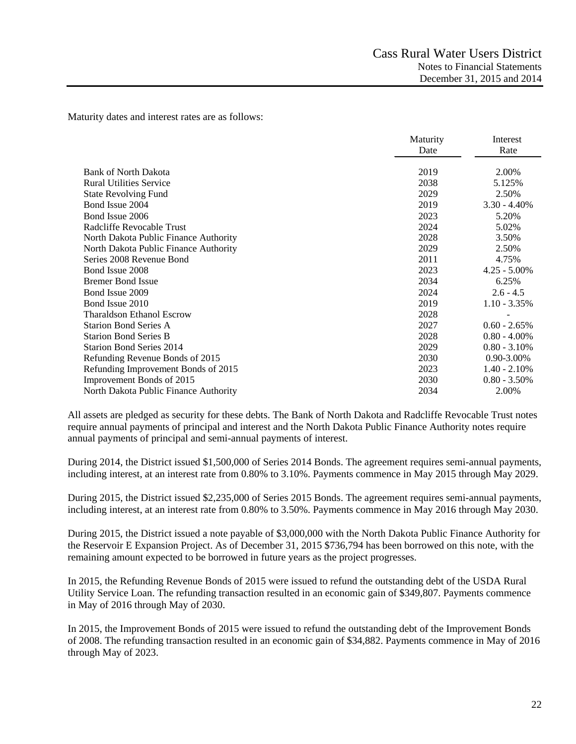Maturity dates and interest rates are as follows:

|                                       | Maturity | Interest        |
|---------------------------------------|----------|-----------------|
|                                       | Date     | Rate            |
|                                       |          |                 |
| <b>Bank of North Dakota</b>           | 2019     | 2.00%           |
| <b>Rural Utilities Service</b>        | 2038     | 5.125%          |
| <b>State Revolving Fund</b>           | 2029     | 2.50%           |
| Bond Issue 2004                       | 2019     | $3.30 - 4.40\%$ |
| Bond Issue 2006                       | 2023     | 5.20%           |
| Radcliffe Revocable Trust             | 2024     | 5.02%           |
| North Dakota Public Finance Authority | 2028     | 3.50%           |
| North Dakota Public Finance Authority | 2029     | 2.50%           |
| Series 2008 Revenue Bond              | 2011     | 4.75%           |
| Bond Issue 2008                       | 2023     | $4.25 - 5.00\%$ |
| <b>Bremer Bond Issue</b>              | 2034     | 6.25%           |
| Bond Issue 2009                       | 2024     | $2.6 - 4.5$     |
| Bond Issue 2010                       | 2019     | $1.10 - 3.35\%$ |
| <b>Tharaldson Ethanol Escrow</b>      | 2028     |                 |
| <b>Starion Bond Series A</b>          | 2027     | $0.60 - 2.65\%$ |
| <b>Starion Bond Series B</b>          | 2028     | $0.80 - 4.00\%$ |
| <b>Starion Bond Series 2014</b>       | 2029     | $0.80 - 3.10\%$ |
| Refunding Revenue Bonds of 2015       | 2030     | $0.90 - 3.00\%$ |
| Refunding Improvement Bonds of 2015   | 2023     | $1.40 - 2.10\%$ |
| Improvement Bonds of 2015             | 2030     | $0.80 - 3.50\%$ |
| North Dakota Public Finance Authority | 2034     | 2.00%           |
|                                       |          |                 |

All assets are pledged as security for these debts. The Bank of North Dakota and Radcliffe Revocable Trust notes require annual payments of principal and interest and the North Dakota Public Finance Authority notes require annual payments of principal and semi-annual payments of interest.

During 2014, the District issued \$1,500,000 of Series 2014 Bonds. The agreement requires semi-annual payments, including interest, at an interest rate from 0.80% to 3.10%. Payments commence in May 2015 through May 2029.

During 2015, the District issued \$2,235,000 of Series 2015 Bonds. The agreement requires semi-annual payments, including interest, at an interest rate from 0.80% to 3.50%. Payments commence in May 2016 through May 2030.

During 2015, the District issued a note payable of \$3,000,000 with the North Dakota Public Finance Authority for the Reservoir E Expansion Project. As of December 31, 2015 \$736,794 has been borrowed on this note, with the remaining amount expected to be borrowed in future years as the project progresses.

In 2015, the Refunding Revenue Bonds of 2015 were issued to refund the outstanding debt of the USDA Rural Utility Service Loan. The refunding transaction resulted in an economic gain of \$349,807. Payments commence in May of 2016 through May of 2030.

In 2015, the Improvement Bonds of 2015 were issued to refund the outstanding debt of the Improvement Bonds of 2008. The refunding transaction resulted in an economic gain of \$34,882. Payments commence in May of 2016 through May of 2023.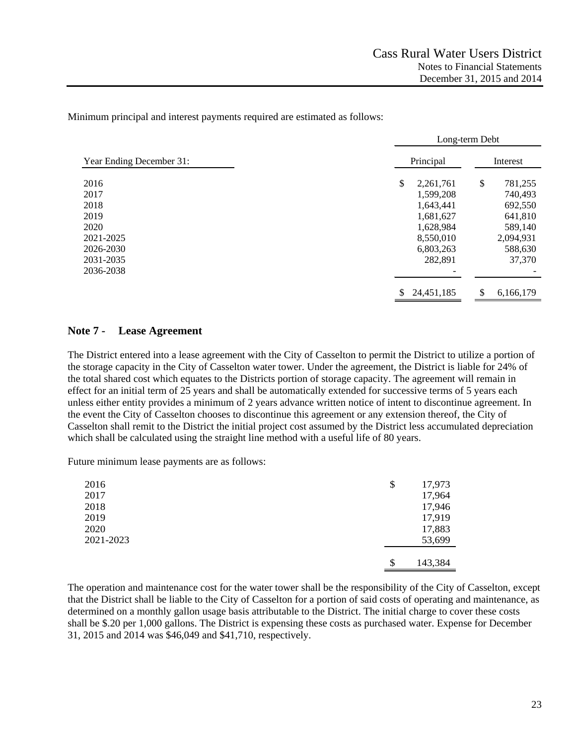Minimum principal and interest payments required are estimated as follows:

|                          |                 | Long-term Debt  |
|--------------------------|-----------------|-----------------|
| Year Ending December 31: | Principal       | Interest        |
| 2016                     | \$<br>2,261,761 | \$<br>781,255   |
| 2017                     | 1,599,208       | 740,493         |
| 2018                     | 1,643,441       | 692,550         |
| 2019                     | 1,681,627       | 641,810         |
| 2020                     | 1,628,984       | 589,140         |
| 2021-2025                | 8,550,010       | 2,094,931       |
| 2026-2030                | 6,803,263       | 588,630         |
| 2031-2035                | 282,891         | 37,370          |
| 2036-2038                |                 |                 |
|                          | 24,451,185      | \$<br>6,166,179 |

## **Note 7 - Lease Agreement**

The District entered into a lease agreement with the City of Casselton to permit the District to utilize a portion of the storage capacity in the City of Casselton water tower. Under the agreement, the District is liable for 24% of the total shared cost which equates to the Districts portion of storage capacity. The agreement will remain in effect for an initial term of 25 years and shall be automatically extended for successive terms of 5 years each unless either entity provides a minimum of 2 years advance written notice of intent to discontinue agreement. In the event the City of Casselton chooses to discontinue this agreement or any extension thereof, the City of Casselton shall remit to the District the initial project cost assumed by the District less accumulated depreciation which shall be calculated using the straight line method with a useful life of 80 years.

Future minimum lease payments are as follows:

| 2016<br>2017 | \$<br>17,973<br>17,964 |
|--------------|------------------------|
| 2018         | 17,946                 |
| 2019         | 17,919                 |
| 2020         | 17,883                 |
| 2021-2023    | 53,699                 |
|              |                        |
|              | \$<br>143,384          |

The operation and maintenance cost for the water tower shall be the responsibility of the City of Casselton, except that the District shall be liable to the City of Casselton for a portion of said costs of operating and maintenance, as determined on a monthly gallon usage basis attributable to the District. The initial charge to cover these costs shall be \$.20 per 1,000 gallons. The District is expensing these costs as purchased water. Expense for December 31, 2015 and 2014 was \$46,049 and \$41,710, respectively.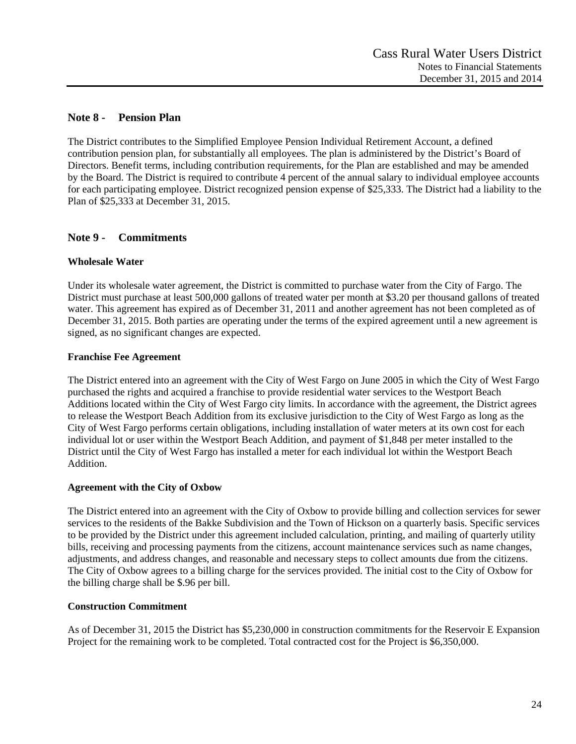# **Note 8 - Pension Plan**

The District contributes to the Simplified Employee Pension Individual Retirement Account, a defined contribution pension plan, for substantially all employees. The plan is administered by the District's Board of Directors. Benefit terms, including contribution requirements, for the Plan are established and may be amended by the Board. The District is required to contribute 4 percent of the annual salary to individual employee accounts for each participating employee. District recognized pension expense of \$25,333. The District had a liability to the Plan of \$25,333 at December 31, 2015.

# **Note 9 - Commitments**

# **Wholesale Water**

Under its wholesale water agreement, the District is committed to purchase water from the City of Fargo. The District must purchase at least 500,000 gallons of treated water per month at \$3.20 per thousand gallons of treated water. This agreement has expired as of December 31, 2011 and another agreement has not been completed as of December 31, 2015. Both parties are operating under the terms of the expired agreement until a new agreement is signed, as no significant changes are expected.

# **Franchise Fee Agreement**

The District entered into an agreement with the City of West Fargo on June 2005 in which the City of West Fargo purchased the rights and acquired a franchise to provide residential water services to the Westport Beach Additions located within the City of West Fargo city limits. In accordance with the agreement, the District agrees to release the Westport Beach Addition from its exclusive jurisdiction to the City of West Fargo as long as the City of West Fargo performs certain obligations, including installation of water meters at its own cost for each individual lot or user within the Westport Beach Addition, and payment of \$1,848 per meter installed to the District until the City of West Fargo has installed a meter for each individual lot within the Westport Beach Addition.

## **Agreement with the City of Oxbow**

The District entered into an agreement with the City of Oxbow to provide billing and collection services for sewer services to the residents of the Bakke Subdivision and the Town of Hickson on a quarterly basis. Specific services to be provided by the District under this agreement included calculation, printing, and mailing of quarterly utility bills, receiving and processing payments from the citizens, account maintenance services such as name changes, adjustments, and address changes, and reasonable and necessary steps to collect amounts due from the citizens. The City of Oxbow agrees to a billing charge for the services provided. The initial cost to the City of Oxbow for the billing charge shall be \$.96 per bill.

## **Construction Commitment**

As of December 31, 2015 the District has \$5,230,000 in construction commitments for the Reservoir E Expansion Project for the remaining work to be completed. Total contracted cost for the Project is \$6,350,000.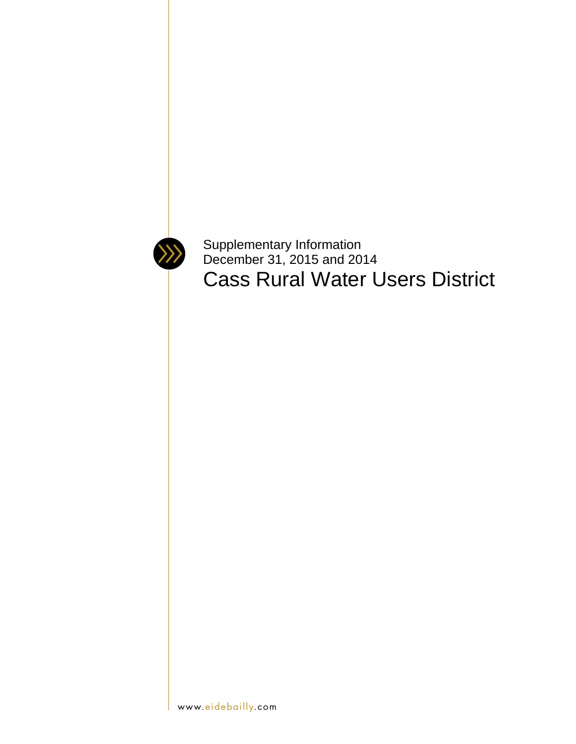

Supplementary Information December 31, 2015 and 2014 Cass Rural Water Users District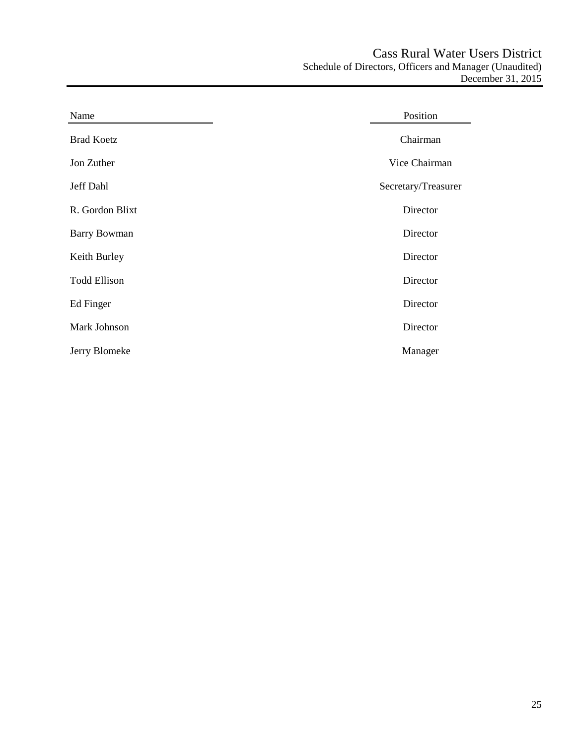| Name                | Position            |
|---------------------|---------------------|
| <b>Brad Koetz</b>   | Chairman            |
| Jon Zuther          | Vice Chairman       |
| Jeff Dahl           | Secretary/Treasurer |
| R. Gordon Blixt     | Director            |
| <b>Barry Bowman</b> | Director            |
| Keith Burley        | Director            |
| <b>Todd Ellison</b> | Director            |
| Ed Finger           | Director            |
| Mark Johnson        | Director            |
| Jerry Blomeke       | Manager             |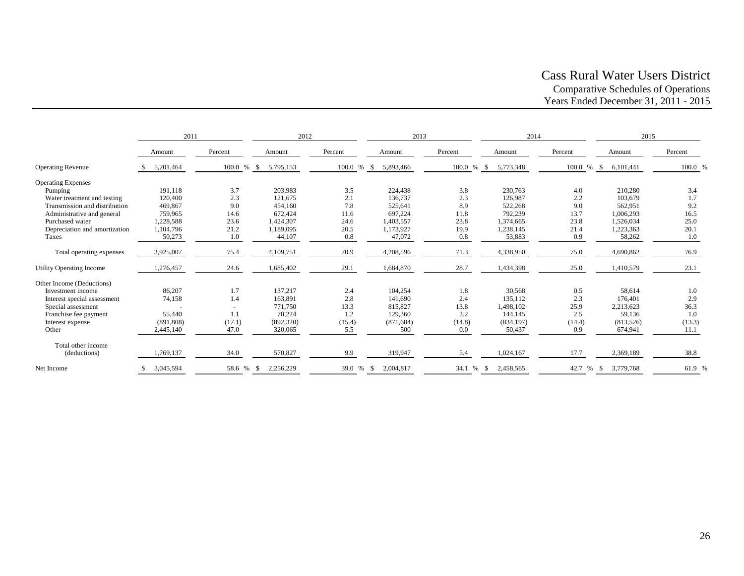# Cass Rural Water Users District Comparative Schedules of Operations Years Ended December 31, 2011 - 2015

|                               | 2011       |              | 2012            |         | 2013              |              | 2014              |              | 2015             |         |
|-------------------------------|------------|--------------|-----------------|---------|-------------------|--------------|-------------------|--------------|------------------|---------|
|                               | Amount     | Percent      | Amount          | Percent | Amount            | Percent      | Amount            | Percent      | Amount           | Percent |
| <b>Operating Revenue</b>      | 5,201,464  | 100.0<br>% S | 5,795,153       | 100.0 % | 5,893,466         | 100.0 %      | 5,773,348<br>- \$ | 100.0 %      | 6,101,441        | 100.0 % |
| <b>Operating Expenses</b>     |            |              |                 |         |                   |              |                   |              |                  |         |
| Pumping                       | 191,118    | 3.7          | 203,983         | 3.5     | 224,438           | 3.8          | 230,763           | 4.0          | 210,280          | 3.4     |
| Water treatment and testing   | 120,400    | 2.3          | 121.675         | 2.1     | 136,737           | 2.3          | 126,987           | 2.2          | 103,679          | 1.7     |
| Transmission and distribution | 469,867    | 9.0          | 454,160         | 7.8     | 525,641           | 8.9          | 522,268           | 9.0          | 562,951          | 9.2     |
| Administrative and general    | 759,965    | 14.6         | 672,424         | 11.6    | 697,224           | 11.8         | 792,239           | 13.7         | 1,006,293        | 16.5    |
| Purchased water               | 1,228,588  | 23.6         | 1,424,307       | 24.6    | 1,403,557         | 23.8         | 1,374,665         | 23.8         | 1,526,034        | 25.0    |
| Depreciation and amortization | 1,104,796  | 21.2         | 1,189,095       | 20.5    | 1,173,927         | 19.9         | 1,238,145         | 21.4         | 1,223,363        | 20.1    |
| Taxes                         | 50,273     | 1.0          | 44,107          | 0.8     | 47,072            | 0.8          | 53,883            | 0.9          | 58,262           | 1.0     |
| Total operating expenses      | 3,925,007  | 75.4         | 4,109,751       | 70.9    | 4,208,596         | 71.3         | 4,338,950         | 75.0         | 4,690,862        | 76.9    |
| Utility Operating Income      | ,276,457   | 24.6         | 1,685,402       | 29.1    | 1,684,870         | 28.7         | 1,434,398         | 25.0         | 1,410,579        | 23.1    |
| Other Income (Deductions)     |            |              |                 |         |                   |              |                   |              |                  |         |
| Investment income             | 86,207     | 1.7          | 137,217         | 2.4     | 104,254           | 1.8          | 30,568            | 0.5          | 58,614           | 1.0     |
| Interest special assessment   | 74,158     | 1.4          | 163,891         | 2.8     | 141,690           | 2.4          | 135,112           | 2.3          | 176.401          | 2.9     |
| Special assessment            |            |              | 771,750         | 13.3    | 815,827           | 13.8         | 1,498,102         | 25.9         | 2,213,623        | 36.3    |
| Franchise fee payment         | 55,440     | 1.1          | 70.224          | 1.2     | 129,360           | 2.2          | 144,145           | 2.5          | 59,136           | 1.0     |
| Interest expense              | (891, 808) | (17.1)       | (892, 320)      | (15.4)  | (871, 684)        | (14.8)       | (834, 197)        | (14.4)       | (813, 526)       | (13.3)  |
| Other                         | 2,445,140  | 47.0         | 320,065         | 5.5     | 500               | 0.0          | 50,437            | 0.9          | 674,941          | 11.1    |
| Total other income            |            |              |                 |         |                   |              |                   |              |                  |         |
| (deductions)                  | 1,769,137  | 34.0         | 570,827         | 9.9     | 319,947           | 5.4          | 1,024,167         | 17.7         | 2,369,189        | 38.8    |
| Net Income                    | 3,045,594  | 58.6 %       | 2,256,229<br>-S | 39.0 %  | 2,004,817<br>- \$ | 34.1<br>$\%$ | 2,458,565<br>-S   | 42.7<br>$\%$ | 3,779,768<br>- S | 61.9 %  |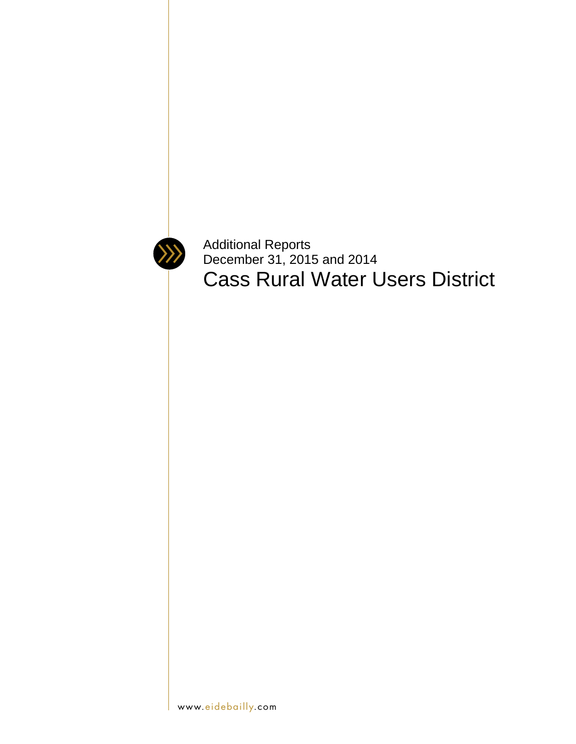

Additional Reports December 31, 2015 and 2014 Cass Rural Water Users District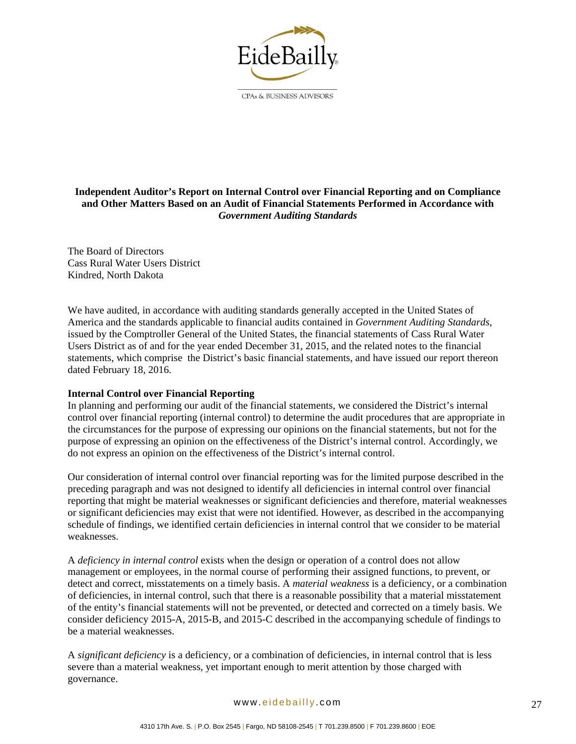

CPAs & BUSINESS ADVISORS

# **Independent Auditor's Report on Internal Control over Financial Reporting and on Compliance and Other Matters Based on an Audit of Financial Statements Performed in Accordance with**  *Government Auditing Standards*

The Board of Directors Cass Rural Water Users District Kindred, North Dakota

We have audited, in accordance with auditing standards generally accepted in the United States of America and the standards applicable to financial audits contained in *Government Auditing Standards*, issued by the Comptroller General of the United States, the financial statements of Cass Rural Water Users District as of and for the year ended December 31, 2015, and the related notes to the financial statements, which comprise the District's basic financial statements, and have issued our report thereon dated February 18, 2016.

## **Internal Control over Financial Reporting**

In planning and performing our audit of the financial statements, we considered the District's internal control over financial reporting (internal control) to determine the audit procedures that are appropriate in the circumstances for the purpose of expressing our opinions on the financial statements, but not for the purpose of expressing an opinion on the effectiveness of the District's internal control. Accordingly, we do not express an opinion on the effectiveness of the District's internal control.

Our consideration of internal control over financial reporting was for the limited purpose described in the preceding paragraph and was not designed to identify all deficiencies in internal control over financial reporting that might be material weaknesses or significant deficiencies and therefore, material weaknesses or significant deficiencies may exist that were not identified. However, as described in the accompanying schedule of findings, we identified certain deficiencies in internal control that we consider to be material weaknesses.

A *deficiency in internal control* exists when the design or operation of a control does not allow management or employees, in the normal course of performing their assigned functions, to prevent, or detect and correct, misstatements on a timely basis. A *material weakness* is a deficiency, or a combination of deficiencies, in internal control, such that there is a reasonable possibility that a material misstatement of the entity's financial statements will not be prevented, or detected and corrected on a timely basis. We consider deficiency 2015-A, 2015-B, and 2015-C described in the accompanying schedule of findings to be a material weaknesses.

A *significant deficiency* is a deficiency, or a combination of deficiencies, in internal control that is less severe than a material weakness, yet important enough to merit attention by those charged with governance.

#### www.eidebailly.com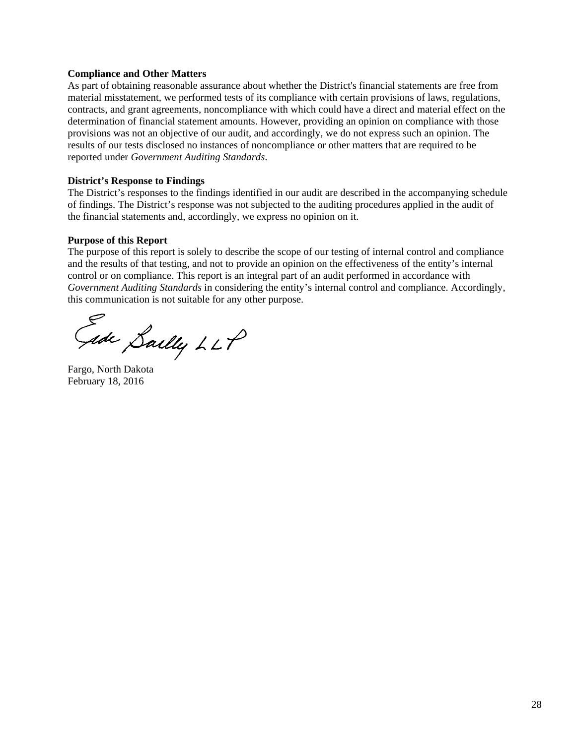#### **Compliance and Other Matters**

As part of obtaining reasonable assurance about whether the District's financial statements are free from material misstatement, we performed tests of its compliance with certain provisions of laws, regulations, contracts, and grant agreements, noncompliance with which could have a direct and material effect on the determination of financial statement amounts. However, providing an opinion on compliance with those provisions was not an objective of our audit, and accordingly, we do not express such an opinion. The results of our tests disclosed no instances of noncompliance or other matters that are required to be reported under *Government Auditing Standards*.

#### **District's Response to Findings**

The District's responses to the findings identified in our audit are described in the accompanying schedule of findings. The District's response was not subjected to the auditing procedures applied in the audit of the financial statements and, accordingly, we express no opinion on it.

#### **Purpose of this Report**

The purpose of this report is solely to describe the scope of our testing of internal control and compliance and the results of that testing, and not to provide an opinion on the effectiveness of the entity's internal control or on compliance. This report is an integral part of an audit performed in accordance with *Government Auditing Standards* in considering the entity's internal control and compliance. Accordingly, this communication is not suitable for any other purpose.

Gade Sailly LLP

Fargo, North Dakota February 18, 2016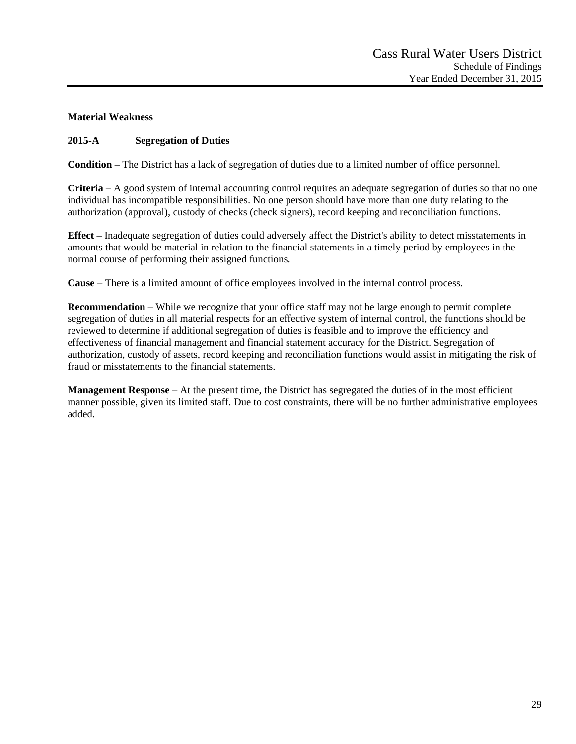# **Material Weakness**

# **2015-A Segregation of Duties**

**Condition** – The District has a lack of segregation of duties due to a limited number of office personnel.

**Criteria** – A good system of internal accounting control requires an adequate segregation of duties so that no one individual has incompatible responsibilities. No one person should have more than one duty relating to the authorization (approval), custody of checks (check signers), record keeping and reconciliation functions.

**Effect** – Inadequate segregation of duties could adversely affect the District's ability to detect misstatements in amounts that would be material in relation to the financial statements in a timely period by employees in the normal course of performing their assigned functions.

**Cause** – There is a limited amount of office employees involved in the internal control process.

**Recommendation** – While we recognize that your office staff may not be large enough to permit complete segregation of duties in all material respects for an effective system of internal control, the functions should be reviewed to determine if additional segregation of duties is feasible and to improve the efficiency and effectiveness of financial management and financial statement accuracy for the District. Segregation of authorization, custody of assets, record keeping and reconciliation functions would assist in mitigating the risk of fraud or misstatements to the financial statements.

**Management Response** – At the present time, the District has segregated the duties of in the most efficient manner possible, given its limited staff. Due to cost constraints, there will be no further administrative employees added.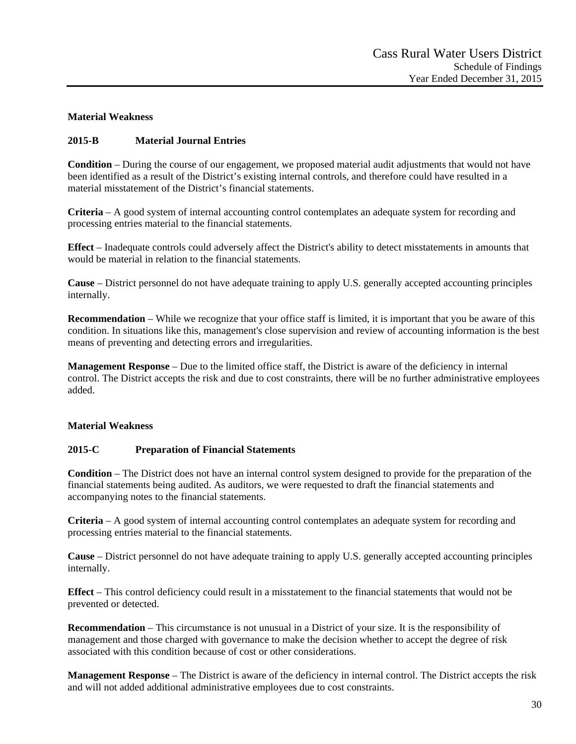# **Material Weakness**

# **2015-B Material Journal Entries**

**Condition** – During the course of our engagement, we proposed material audit adjustments that would not have been identified as a result of the District's existing internal controls, and therefore could have resulted in a material misstatement of the District's financial statements.

**Criteria** – A good system of internal accounting control contemplates an adequate system for recording and processing entries material to the financial statements.

**Effect** – Inadequate controls could adversely affect the District's ability to detect misstatements in amounts that would be material in relation to the financial statements.

**Cause** – District personnel do not have adequate training to apply U.S. generally accepted accounting principles internally.

**Recommendation** – While we recognize that your office staff is limited, it is important that you be aware of this condition. In situations like this, management's close supervision and review of accounting information is the best means of preventing and detecting errors and irregularities.

**Management Response** – Due to the limited office staff, the District is aware of the deficiency in internal control. The District accepts the risk and due to cost constraints, there will be no further administrative employees added.

## **Material Weakness**

## **2015-C Preparation of Financial Statements**

**Condition** – The District does not have an internal control system designed to provide for the preparation of the financial statements being audited. As auditors, we were requested to draft the financial statements and accompanying notes to the financial statements.

**Criteria** – A good system of internal accounting control contemplates an adequate system for recording and processing entries material to the financial statements.

**Cause** – District personnel do not have adequate training to apply U.S. generally accepted accounting principles internally.

**Effect** – This control deficiency could result in a misstatement to the financial statements that would not be prevented or detected.

**Recommendation** – This circumstance is not unusual in a District of your size. It is the responsibility of management and those charged with governance to make the decision whether to accept the degree of risk associated with this condition because of cost or other considerations.

**Management Response** – The District is aware of the deficiency in internal control. The District accepts the risk and will not added additional administrative employees due to cost constraints.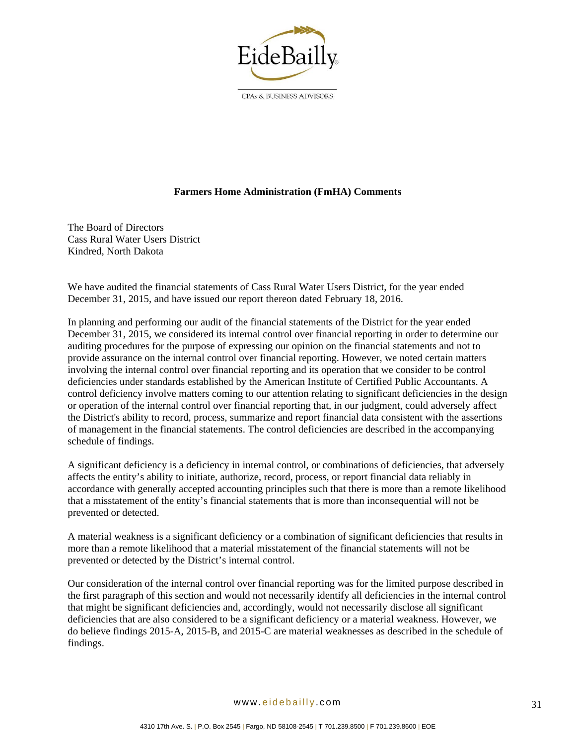

CPAs & BUSINESS ADVISORS

## **Farmers Home Administration (FmHA) Comments**

The Board of Directors Cass Rural Water Users District Kindred, North Dakota

We have audited the financial statements of Cass Rural Water Users District, for the year ended December 31, 2015, and have issued our report thereon dated February 18, 2016.

In planning and performing our audit of the financial statements of the District for the year ended December 31, 2015, we considered its internal control over financial reporting in order to determine our auditing procedures for the purpose of expressing our opinion on the financial statements and not to provide assurance on the internal control over financial reporting. However, we noted certain matters involving the internal control over financial reporting and its operation that we consider to be control deficiencies under standards established by the American Institute of Certified Public Accountants. A control deficiency involve matters coming to our attention relating to significant deficiencies in the design or operation of the internal control over financial reporting that, in our judgment, could adversely affect the District's ability to record, process, summarize and report financial data consistent with the assertions of management in the financial statements. The control deficiencies are described in the accompanying schedule of findings.

A significant deficiency is a deficiency in internal control, or combinations of deficiencies, that adversely affects the entity's ability to initiate, authorize, record, process, or report financial data reliably in accordance with generally accepted accounting principles such that there is more than a remote likelihood that a misstatement of the entity's financial statements that is more than inconsequential will not be prevented or detected.

A material weakness is a significant deficiency or a combination of significant deficiencies that results in more than a remote likelihood that a material misstatement of the financial statements will not be prevented or detected by the District's internal control.

Our consideration of the internal control over financial reporting was for the limited purpose described in the first paragraph of this section and would not necessarily identify all deficiencies in the internal control that might be significant deficiencies and, accordingly, would not necessarily disclose all significant deficiencies that are also considered to be a significant deficiency or a material weakness. However, we do believe findings 2015-A, 2015-B, and 2015-C are material weaknesses as described in the schedule of findings.